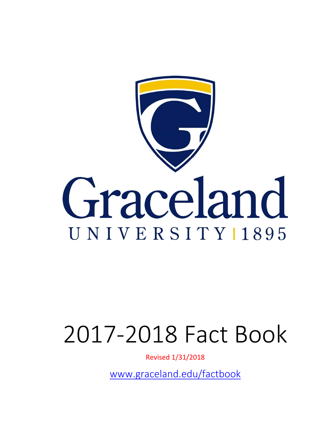

# 2017‐2018 Fact Book

Revised 1/31/2018

www.graceland.edu/factbook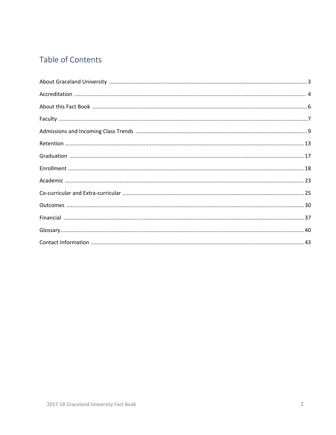# Table of Contents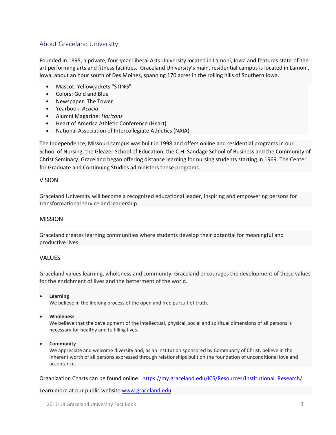## About Graceland University

Founded in 1895, a private, four‐year Liberal Arts University located in Lamoni, Iowa and features state‐of‐the‐ art performing arts and fitness facilities. Graceland University's main, residential campus is located in Lamoni, Iowa, about an hour south of Des Moines, spanning 170 acres in the rolling hills of Southern Iowa.

- Mascot: Yellowjackets "STING"
- Colors: Gold and Blue
- Newspaper: The Tower
- Yearbook: *Acacia*
- Alumni Magazine: *Horizons*
- Heart of America Athletic Conference (Heart)
- National Association of Intercollegiate Athletics (NAIA)

The Independence, Missouri campus was built in 1998 and offers online and residential programs in our School of Nursing, the Gleazer School of Education, the C.H. Sandage School of Business and the Community of Christ Seminary. Graceland began offering distance learning for nursing students starting in 1969. The Center for Graduate and Continuing Studies administers these programs.

#### VISION

Graceland University will become a recognized educational leader, inspiring and empowering persons for transformational service and leadership.

#### MISSION

Graceland creates learning communities where students develop their potential for meaningful and productive lives.

#### VALUES

Graceland values learning, wholeness and community. Graceland encourages the development of these values for the enrichment of lives and the betterment of the world.

**Learning**

We believe in the lifelong process of the open and free pursuit of truth.

**Wholeness**

We believe that the development of the intellectual, physical, social and spiritual dimensions of all persons is necessary for healthy and fulfilling lives.

**Community**

We appreciate and welcome diversity and, as an institution sponsored by Community of Christ, believe in the inherent worth of all persons expressed through relationships built on the foundation of unconditional love and acceptance.

Organization Charts can be found online: https://my.graceland.edu/ICS/Resources/Institutional\_Research/

Learn more at our public website www.graceland.edu.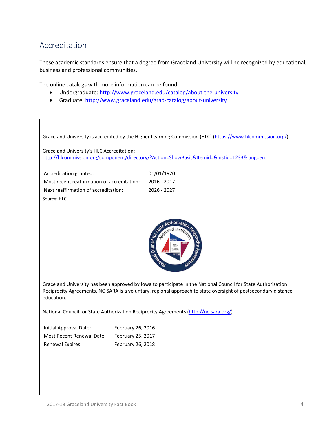# Accreditation

These academic standards ensure that a degree from Graceland University will be recognized by educational, business and professional communities.

The online catalogs with more information can be found:

- Undergraduate: http://www.graceland.edu/catalog/about‐the‐university
- Graduate: http://www.graceland.edu/grad-catalog/about-university

Graceland University is accredited by the Higher Learning Commission (HLC) (https://www.hlcommission.org/).

Graceland University's HLC Accreditation: http://hlcommission.org/component/directory/?Action=ShowBasic&Itemid=&instid=1233&lang=en.

| Accreditation granted:                      | 01/01/1920  |
|---------------------------------------------|-------------|
| Most recent reaffirmation of accreditation: | 2016 - 2017 |
| Next reaffirmation of accreditation:        | 2026 - 2027 |
| Source: HLC                                 |             |



Graceland University has been approved by Iowa to participate in the National Council for State Authorization Reciprocity Agreements. NC‐SARA is a voluntary, regional approach to state oversight of postsecondary distance education.

National Council for State Authorization Reciprocity Agreements (http://nc-sara.org/)

| Initial Approval Date:           | February 26, 2016 |
|----------------------------------|-------------------|
| <b>Most Recent Renewal Date:</b> | February 25, 2017 |
| <b>Renewal Expires:</b>          | February 26, 2018 |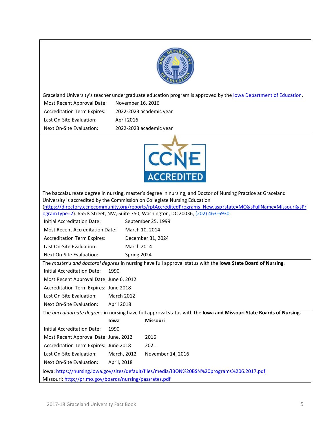

Graceland University's teacher undergraduate education program is approved by the lowa Department of Education. Most Recent Approval Date: November 16, 2016

Accreditation Term Expires: 2022‐2023 academic year Last On-Site Evaluation: April 2016 Next On‐Site Evaluation: 2022‐2023 academic year



| The baccalaureate degree in nursing, master's degree in nursing, and Doctor of Nursing Practice at Graceland |                                                                                             |                                                                                                                    |  |  |  |  |  |  |  |
|--------------------------------------------------------------------------------------------------------------|---------------------------------------------------------------------------------------------|--------------------------------------------------------------------------------------------------------------------|--|--|--|--|--|--|--|
| University is accredited by the Commission on Collegiate Nursing Education                                   |                                                                                             |                                                                                                                    |  |  |  |  |  |  |  |
| (https://directory.ccnecommunity.org/reports/rptAccreditedPrograms New.asp?state=MO&sFullName=Missouri&sPr   |                                                                                             |                                                                                                                    |  |  |  |  |  |  |  |
| ogramType=2). 655 K Street, NW, Suite 750, Washington, DC 20036, (202) 463-6930.                             |                                                                                             |                                                                                                                    |  |  |  |  |  |  |  |
| <b>Initial Accreditation Date:</b>                                                                           |                                                                                             | September 25, 1999                                                                                                 |  |  |  |  |  |  |  |
| <b>Most Recent Accreditation Date:</b>                                                                       |                                                                                             | March 10, 2014                                                                                                     |  |  |  |  |  |  |  |
| <b>Accreditation Term Expires:</b>                                                                           |                                                                                             | December 31, 2024                                                                                                  |  |  |  |  |  |  |  |
| Last On-Site Evaluation:                                                                                     |                                                                                             | <b>March 2014</b>                                                                                                  |  |  |  |  |  |  |  |
| Next On-Site Evaluation:                                                                                     |                                                                                             | Spring 2024                                                                                                        |  |  |  |  |  |  |  |
|                                                                                                              |                                                                                             | The master's and doctoral degrees in nursing have full approval status with the lowa State Board of Nursing.       |  |  |  |  |  |  |  |
| <b>Initial Accreditation Date:</b>                                                                           | 1990                                                                                        |                                                                                                                    |  |  |  |  |  |  |  |
| Most Recent Approval Date: June 6, 2012                                                                      |                                                                                             |                                                                                                                    |  |  |  |  |  |  |  |
| Accreditation Term Expires: June 2018                                                                        |                                                                                             |                                                                                                                    |  |  |  |  |  |  |  |
| Last On-Site Evaluation:                                                                                     | <b>March 2012</b>                                                                           |                                                                                                                    |  |  |  |  |  |  |  |
| Next On-Site Evaluation:                                                                                     | April 2018                                                                                  |                                                                                                                    |  |  |  |  |  |  |  |
|                                                                                                              |                                                                                             | The baccalaureate degrees in nursing have full approval status with the lowa and Missouri State Boards of Nursing. |  |  |  |  |  |  |  |
|                                                                                                              | lowa                                                                                        | Missouri                                                                                                           |  |  |  |  |  |  |  |
| Initial Accreditation Date:                                                                                  | 1990                                                                                        |                                                                                                                    |  |  |  |  |  |  |  |
| Most Recent Approval Date: June, 2012                                                                        |                                                                                             | 2016                                                                                                               |  |  |  |  |  |  |  |
| Accreditation Term Expires: June 2018                                                                        |                                                                                             | 2021                                                                                                               |  |  |  |  |  |  |  |
| Last On-Site Evaluation:                                                                                     | March, 2012                                                                                 | November 14, 2016                                                                                                  |  |  |  |  |  |  |  |
| Next On-Site Evaluation:                                                                                     | April, 2018                                                                                 |                                                                                                                    |  |  |  |  |  |  |  |
|                                                                                                              | lowa: https://nursing.iowa.gov/sites/default/files/media/IBON%20BSN%20programs%206.2017.pdf |                                                                                                                    |  |  |  |  |  |  |  |
| Missouri: http://pr.mo.gov/boards/nursing/passrates.pdf                                                      |                                                                                             |                                                                                                                    |  |  |  |  |  |  |  |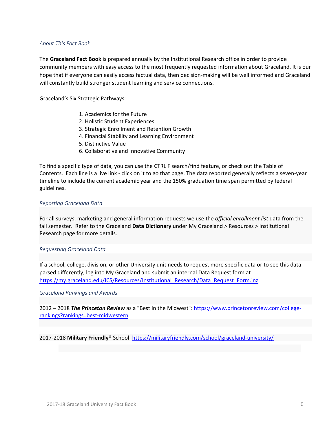#### *About This Fact Book*

The **Graceland Fact Book** is prepared annually by the Institutional Research office in order to provide community members with easy access to the most frequently requested information about Graceland. It is our hope that if everyone can easily access factual data, then decision-making will be well informed and Graceland will constantly build stronger student learning and service connections.

Graceland's Six Strategic Pathways:

- 1. Academics for the Future
- 2. Holistic Student Experiences
- 3. Strategic Enrollment and Retention Growth
- 4. Financial Stability and Learning Environment
- 5. Distinctive Value
- 6. Collaborative and Innovative Community

To find a specific type of data, you can use the CTRL F search/find feature, or check out the Table of Contents. Each line is a live link ‐ click on it to go that page. The data reported generally reflects a seven‐year timeline to include the current academic year and the 150% graduation time span permitted by federal guidelines.

#### *Reporting Graceland Data*

For all surveys, marketing and general information requests we use the *official enrollment list* data from the fall semester. Refer to the Graceland **Data Dictionary** under My Graceland > Resources > Institutional Research page for more details.

#### *Requesting Graceland Data*

If a school, college, division, or other University unit needs to request more specific data or to see this data parsed differently, log into My Graceland and submit an internal Data Request form at https://my.graceland.edu/ICS/Resources/Institutional\_Research/Data\_Request\_Form.jnz.

#### *Graceland Rankings and Awards*

2012 – 2018 **The Princeton Review** as a "Best in the Midwest": https://www.princetonreview.com/collegerankings?rankings=best‐midwestern

2017‐2018 **Military Friendly**® School: https://militaryfriendly.com/school/graceland‐university/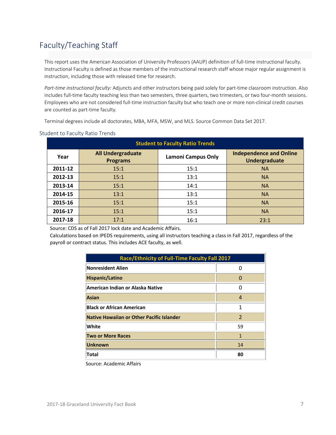# Faculty/Teaching Staff

This report uses the American Association of University Professors (AAUP) definition of full‐time instructional faculty. Instructional Faculty is defined as those members of the instructional research staff whose major regular assignment is instruction, including those with released time for research.

*Part‐time instructional faculty:* Adjuncts and other instructors being paid solely for part‐time classroom instruction. Also includes full-time faculty teaching less than two semesters, three quarters, two trimesters, or two four-month sessions. Employees who are not considered full-time instruction faculty but who teach one or more non-clinical credit courses are counted as part-time faculty.

Terminal degrees include all doctorates, MBA, MFA, MSW, and MLS. Source Common Data Set 2017.

| <b>Student to Faculty Ratio Trends</b> |                                             |                           |                                                 |  |  |  |  |  |  |  |
|----------------------------------------|---------------------------------------------|---------------------------|-------------------------------------------------|--|--|--|--|--|--|--|
| Year                                   | <b>All Undergraduate</b><br><b>Programs</b> | <b>Lamoni Campus Only</b> | <b>Independence and Online</b><br>Undergraduate |  |  |  |  |  |  |  |
| 2011-12                                | 15:1                                        | 15:1                      | <b>NA</b>                                       |  |  |  |  |  |  |  |
| 2012-13                                | 15:1                                        | 13:1                      | <b>NA</b>                                       |  |  |  |  |  |  |  |
| 2013-14                                | 15:1                                        | 14:1                      | <b>NA</b>                                       |  |  |  |  |  |  |  |
| 2014-15                                | 13:1                                        | 13:1                      | <b>NA</b>                                       |  |  |  |  |  |  |  |
| 2015-16                                | 15:1                                        | 15:1                      | <b>NA</b>                                       |  |  |  |  |  |  |  |
| 2016-17                                | 15:1                                        | 15:1                      | <b>NA</b>                                       |  |  |  |  |  |  |  |
| 2017-18                                | 17:1                                        | 16:1                      | 23:1                                            |  |  |  |  |  |  |  |

#### Student to Faculty Ratio Trends

Source: CDS as of Fall 2017 lock date and Academic Affairs.

Calculations based on IPEDS requirements, using all instructors teaching a class in Fall 2017, regardless of the payroll or contract status. This includes ACE faculty, as well.

| Race/Ethnicity of Full-Time Faculty Fall 2017 |               |  |  |  |  |  |  |
|-----------------------------------------------|---------------|--|--|--|--|--|--|
| <b>Nonresident Alien</b>                      |               |  |  |  |  |  |  |
| <b>Hispanic/Latino</b>                        | O             |  |  |  |  |  |  |
| American Indian or Alaska Native              | O             |  |  |  |  |  |  |
| <b>Asian</b>                                  | 4             |  |  |  |  |  |  |
| <b>Black or African American</b>              | 1             |  |  |  |  |  |  |
| Native Hawaiian or Other Pacific Islander     | $\mathcal{P}$ |  |  |  |  |  |  |
| White                                         | 59            |  |  |  |  |  |  |
| <b>Two or More Races</b>                      | $\mathbf{1}$  |  |  |  |  |  |  |
| <b>Unknown</b>                                | 14            |  |  |  |  |  |  |
| Total                                         | 80            |  |  |  |  |  |  |

Source: Academic Affairs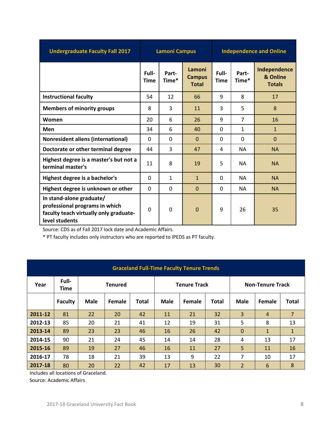| <b>Undergraduate Faculty Fall 2017</b>                                                                                 | <b>Lamoni Campus</b> |                |                                         | <b>Independence and Online</b> |                |                                           |  |
|------------------------------------------------------------------------------------------------------------------------|----------------------|----------------|-----------------------------------------|--------------------------------|----------------|-------------------------------------------|--|
|                                                                                                                        | Full-<br><b>Time</b> | Part-<br>Time* | Lamoni<br><b>Campus</b><br><b>Total</b> | Full-<br><b>Time</b>           | Part-<br>Time* | Independence<br>& Online<br><b>Totals</b> |  |
| <b>Instructional faculty</b>                                                                                           | 54                   | 12             | 66                                      | 9                              | 8              | 17                                        |  |
| <b>Members of minority groups</b>                                                                                      | 8                    | 3              | 11                                      | 3                              | 5              | 8                                         |  |
| Women                                                                                                                  | 20                   | 6              | 26                                      | 9                              | $\overline{7}$ | 16                                        |  |
| Men                                                                                                                    | 34                   | 6              | 40                                      | 0                              | $\mathbf{1}$   | $\mathbf{1}$                              |  |
| <b>Nonresident aliens (international)</b>                                                                              | $\Omega$             | $\Omega$       | $\Omega$                                | $\Omega$                       | $\Omega$       | $\mathbf 0$                               |  |
| Doctorate or other terminal degree                                                                                     | 44                   | 3              | 47                                      | 4                              | <b>NA</b>      | <b>NA</b>                                 |  |
| Highest degree is a master's but not a<br>terminal master's                                                            | 11                   | 8              | 19                                      | 5                              | <b>NA</b>      | <b>NA</b>                                 |  |
| Highest degree is a bachelor's                                                                                         | 0                    | $\mathbf{1}$   | $\mathbf{1}$                            | $\Omega$                       | <b>NA</b>      | <b>NA</b>                                 |  |
| Highest degree is unknown or other                                                                                     | 0                    | $\Omega$       | $\overline{0}$                          | $\mathbf{0}$                   | <b>NA</b>      | <b>NA</b>                                 |  |
| In stand-alone graduate/<br>professional programs in which<br>faculty teach virtually only graduate-<br>level students | 0                    | 0              | $\mathbf 0$                             | 9                              | 26             | 35                                        |  |

Source: CDS as of Fall 2017 lock date and Academic Affairs. \* PT faculty includes only instructors who are reported to IPEDS as PT faculty.

| <b>Graceland Full-Time Faculty Tenure Trends</b> |                      |                |        |              |                     |        |              |                         |                |                |  |
|--------------------------------------------------|----------------------|----------------|--------|--------------|---------------------|--------|--------------|-------------------------|----------------|----------------|--|
| Year                                             | Full-<br><b>Time</b> | <b>Tenured</b> |        |              | <b>Tenure Track</b> |        |              | <b>Non-Tenure Track</b> |                |                |  |
|                                                  | <b>Faculty</b>       | Male           | Female | <b>Total</b> | Male                | Female | <b>Total</b> | <b>Male</b>             | Female         | <b>Total</b>   |  |
| 2011-12                                          | 81                   | 22             | 20     | 42           | 11                  | 21     | 32           | 3                       | $\overline{4}$ | $\overline{7}$ |  |
| 2012-13                                          | 85                   | 20             | 21     | 41           | 12                  | 19     | 31           | 5                       | 8              | 13             |  |
| 2013-14                                          | 89                   | 23             | 23     | 46           | 16                  | 26     | 42           | $\Omega$                | $\mathbf{1}$   | $\mathbf{1}$   |  |
| 2014-15                                          | 90                   | 21             | 24     | 45           | 14                  | 14     | 28           | 4                       | 13             | 17             |  |
| 2015-16                                          | 89                   | 19             | 27     | 46           | 16                  | 11     | 27           | 5                       | 11             | 16             |  |
| 2016-17                                          | 78                   | 18             | 21     | 39           | 13                  | 9      | 22           | $\overline{7}$          | 10             | 17             |  |
| 2017-18                                          | 80                   | 20             | 22     | 42           | 17                  | 13     | 30           | $\overline{2}$          | 6              | 8              |  |

Includes all locations of Graceland.

Source: Academic Affairs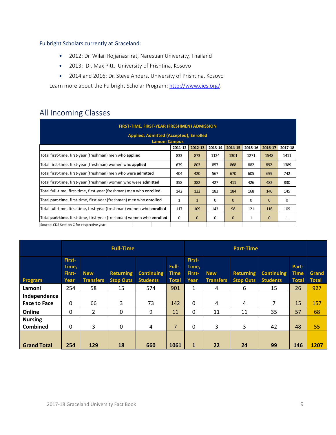### Fulbright Scholars currently at Graceland:

- 2012: Dr. Wilaii Rojjanasrirat, Naresuan University, Thailand
- 2013: Dr. Max Pitt, University of Prishtina, Kosovo
- 2014 and 2016: Dr. Steve Anders, University of Prishtina, Kosovo

Learn more about the Fulbright Scholar Program: http://www.cies.org/.

# All Incoming Classes

| FIRST-TIME, FIRST-YEAR (FRESHMEN) ADMISSION                           |         |              |         |              |             |              |         |  |  |  |  |  |
|-----------------------------------------------------------------------|---------|--------------|---------|--------------|-------------|--------------|---------|--|--|--|--|--|
| Applied, Admitted (Accepted), Enrolled                                |         |              |         |              |             |              |         |  |  |  |  |  |
| <b>Lamoni Campus</b>                                                  |         |              |         |              |             |              |         |  |  |  |  |  |
|                                                                       | 2011-12 | 2012-13      | 2013-14 | 2014-15      | 2015-16     | 2016-17      | 2017-18 |  |  |  |  |  |
| Total first-time, first-year (freshman) men who applied               | 833     | 873          | 1124    | 1301         | 1271        | 1548         | 1411    |  |  |  |  |  |
| Total first-time, first-year (freshman) women who applied             | 679     | 803          | 857     | 868          | 882         | 892          | 1389    |  |  |  |  |  |
| Total first-time, first-year (freshman) men who were admitted         | 404     | 420          | 567     | 670          | 605         | 699          | 742     |  |  |  |  |  |
| Total first-time, first-year (freshman) women who were admitted       | 358     | 382          | 427     | 411          | 426         | 482          | 830     |  |  |  |  |  |
| Total full-time, first-time, first-year (freshman) men who enrolled   | 142     | 122          | 183     | 184          | 168         | 140          | 145     |  |  |  |  |  |
| Total part-time, first-time, first-year (freshman) men who enrolled   | 1       | $\mathbf{1}$ | 0       | $\mathbf{0}$ | $\mathbf 0$ | $\mathbf{0}$ | 0       |  |  |  |  |  |
| Total full-time, first-time, first-year (freshman) women who enrolled | 117     | 109          | 143     | 98           | 121         | 116          | 109     |  |  |  |  |  |
| Total part-time, first-time, first-year (freshman) women who enrolled | 0       | $\mathbf{0}$ | 0       | $\mathbf{0}$ | 1           | $\mathbf{0}$ | 1       |  |  |  |  |  |
| Source: CDS Section C for respective year.                            |         |              |         |              |             |              |         |  |  |  |  |  |

|                                     | <b>Full-Time</b>                  |                                |                                      |                                      | <b>Part-Time</b>                     |                                   |                                |                                      |                                      |                                      |                       |
|-------------------------------------|-----------------------------------|--------------------------------|--------------------------------------|--------------------------------------|--------------------------------------|-----------------------------------|--------------------------------|--------------------------------------|--------------------------------------|--------------------------------------|-----------------------|
| Program                             | First-<br>Time,<br>First-<br>Year | <b>New</b><br><b>Transfers</b> | <b>Returning</b><br><b>Stop Outs</b> | <b>Continuing</b><br><b>Students</b> | Full-<br><b>Time</b><br><b>Total</b> | First-<br>Time,<br>First-<br>Year | <b>New</b><br><b>Transfers</b> | <b>Returning</b><br><b>Stop Outs</b> | <b>Continuing</b><br><b>Students</b> | Part-<br><b>Time</b><br><b>Total</b> | Grand<br><b>Total</b> |
| Lamoni                              | 254                               | 58                             | 15                                   | 574                                  | 901                                  | $\mathbf{1}$                      | 4                              | 6                                    | 15                                   | 26                                   | 927                   |
| Independence<br><b>Face to Face</b> | 0                                 | 66                             | 3                                    | 73                                   | 142                                  | $\Omega$                          | 4                              | 4                                    | 7                                    | 15                                   | 157                   |
| Online                              | 0                                 | 2                              | 0                                    | 9                                    | 11                                   | 0                                 | 11                             | 11                                   | 35                                   | 57                                   | 68                    |
| <b>Nursing</b><br><b>Combined</b>   | 0                                 | 3                              | 0                                    | 4                                    | $\overline{7}$                       | 0                                 | 3                              | 3                                    | 42                                   | 48                                   | 55                    |
| <b>Grand Total</b>                  | 254                               | 129                            | 18                                   | 660                                  | 1061                                 | $\mathbf{1}$                      | 22                             | 24                                   | 99                                   | 146                                  | 1207                  |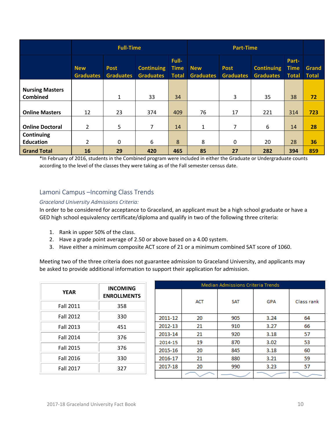|                                           | <b>Full-Time</b>               |                                 |                                       |                                      | <b>Part-Time</b>               |                                 |                                       |                                      |                       |
|-------------------------------------------|--------------------------------|---------------------------------|---------------------------------------|--------------------------------------|--------------------------------|---------------------------------|---------------------------------------|--------------------------------------|-----------------------|
|                                           | <b>New</b><br><b>Graduates</b> | <b>Post</b><br><b>Graduates</b> | <b>Continuing</b><br><b>Graduates</b> | Full-<br><b>Time</b><br><b>Total</b> | <b>New</b><br><b>Graduates</b> | <b>Post</b><br><b>Graduates</b> | <b>Continuing</b><br><b>Graduates</b> | Part-<br><b>Time</b><br><b>Total</b> | Grand<br><b>Total</b> |
| <b>Nursing Masters</b><br><b>Combined</b> |                                | $\mathbf{1}$                    | 33                                    | 34                                   |                                | 3                               | 35                                    | 38                                   | 72                    |
| <b>Online Masters</b>                     | 12                             | 23                              | 374                                   | 409                                  | 76                             | 17                              | 221                                   | 314                                  | 723                   |
| <b>Online Doctoral</b>                    | $\overline{2}$                 | $5\phantom{.}$                  | 7                                     | 14                                   | $\mathbf{1}$                   | $\overline{7}$                  | 6                                     | 14                                   | 28                    |
| Continuing<br><b>Education</b>            | 2                              | 0                               | 6                                     | 8                                    | 8                              | 0                               | 20                                    | 28                                   | 36                    |
| <b>Grand Total</b>                        | 16                             | 29                              | 420                                   | 465                                  | 85                             | 27                              | 282                                   | 394                                  | 859                   |

\*In February of 2016, students in the Combined program were included in either the Graduate or Undergraduate counts according to the level of the classes they were taking as of the Fall semester census date.

## Lamoni Campus –Incoming Class Trends

#### *Graceland University Admissions Criteria:*

In order to be considered for acceptance to Graceland, an applicant must be a high school graduate or have a GED high school equivalency certificate/diploma and qualify in two of the following three criteria:

- 1. Rank in upper 50% of the class.
- 2. Have a grade point average of 2.50 or above based on a 4.00 system.
- 3. Have either a minimum composite ACT score of 21 or a minimum combined SAT score of 1060.

Meeting two of the three criteria does not guarantee admission to Graceland University, and applicants may be asked to provide additional information to support their application for admission.

|                  | <b>INCOMING</b>    |         | Median Admissions Criteria Trends |            |            |            |  |  |  |  |
|------------------|--------------------|---------|-----------------------------------|------------|------------|------------|--|--|--|--|
| <b>YEAR</b>      | <b>ENROLLMENTS</b> |         | <b>ACT</b>                        | <b>SAT</b> | <b>GPA</b> | Class rank |  |  |  |  |
| <b>Fall 2011</b> | 358                |         |                                   |            |            |            |  |  |  |  |
| <b>Fall 2012</b> | 330                | 2011-12 | 20                                | 905        | 3.24       | 64         |  |  |  |  |
| Fall 2013        | 451                | 2012-13 | 21                                | 910        | 3.27       | 66         |  |  |  |  |
| Fall 2014        | 376                | 2013-14 | 21                                | 920        | 3.18       | 57         |  |  |  |  |
|                  |                    | 2014-15 | 19                                | 870        | 3.02       | 53         |  |  |  |  |
| <b>Fall 2015</b> | 376                | 2015-16 | 20                                | 845        | 3.18       | 60         |  |  |  |  |
| Fall 2016        | 330                | 2016-17 | 21                                | 880        | 3.21       | 59         |  |  |  |  |
| Fall 2017        | 327                | 2017-18 | 20                                | 990        | 3.23       | 57         |  |  |  |  |
|                  |                    |         |                                   |            |            |            |  |  |  |  |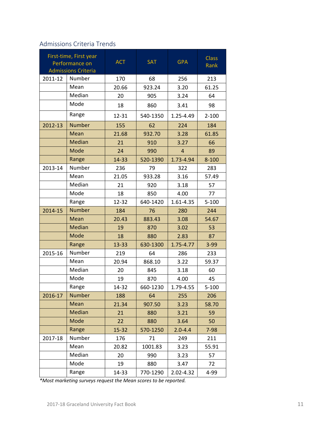# Admissions Criteria Trends

|         | First-time, First year<br>Performance on<br><b>Admissions Criteria</b> | <b>ACT</b> | <b>SAT</b> | <b>GPA</b>     | <b>Class</b><br>Rank |
|---------|------------------------------------------------------------------------|------------|------------|----------------|----------------------|
| 2011-12 | Number                                                                 | 170        | 68         | 256            | 213                  |
|         | Mean                                                                   | 20.66      | 923.24     | 3.20           | 61.25                |
|         | Median                                                                 | 20         | 905        | 3.24           | 64                   |
|         | Mode                                                                   | 18         | 860        | 3.41           | 98                   |
|         | Range                                                                  | 12-31      | 540-1350   | 1.25-4.49      | $2 - 100$            |
| 2012-13 | <b>Number</b>                                                          | 155        | 62         | 224            | 184                  |
|         | Mean                                                                   | 21.68      | 932.70     | 3.28           | 61.85                |
|         | Median                                                                 | 21         | 910        | 3.27           | 66                   |
|         | Mode                                                                   | 24         | 990        | $\overline{4}$ | 89                   |
|         | Range                                                                  | 14-33      | 520-1390   | 1.73-4.94      | $8 - 100$            |
| 2013-14 | Number                                                                 | 236        | 79         | 322            | 283                  |
|         | Mean                                                                   | 21.05      | 933.28     | 3.16           | 57.49                |
|         | Median                                                                 | 21         | 920        | 3.18           | 57                   |
|         | Mode                                                                   | 18         | 850        | 4.00           | 77                   |
|         | Range                                                                  | 12-32      | 640-1420   | 1.61-4.35      | $5 - 100$            |
| 2014-15 | <b>Number</b>                                                          | 184        | 76         | 280            | 244                  |
|         | Mean                                                                   | 20.43      | 883.43     | 3.08           | 54.67                |
|         | Median                                                                 | 19         | 870        | 3.02           | 53                   |
|         | Mode                                                                   | 18         | 880        | 2.83           | 87                   |
|         | Range                                                                  | 13-33      | 630-1300   | 1.75-4.77      | $3 - 99$             |
| 2015-16 | Number                                                                 | 219        | 64         | 286            | 233                  |
|         | Mean                                                                   | 20.94      | 868.10     | 3.22           | 59.37                |
|         | Median                                                                 | 20         | 845        | 3.18           | 60                   |
|         | Mode                                                                   | 19         | 870        | 4.00           | 45                   |
|         | Range                                                                  | 14-32      | 660-1230   | 1.79-4.55      | $5 - 100$            |
| 2016-17 | <b>Number</b>                                                          | 188        | 64         | 255            | 206                  |
|         | Mean                                                                   | 21.34      | 907.50     | 3.23           | 58.70                |
|         | Median                                                                 | 21         | 880        | 3.21           | 59                   |
|         | Mode                                                                   | 22         | 880        | 3.64           | 50                   |
|         | Range                                                                  | 15-32      | 570-1250   | $2.0 - 4.4$    | $7 - 98$             |
| 2017-18 | Number                                                                 | 176        | 71         | 249            | 211                  |
|         | Mean                                                                   | 20.82      | 1001.83    | 3.23           | 55.91                |
|         | Median                                                                 | 20         | 990        | 3.23           | 57                   |
|         | Mode                                                                   | 19         | 880        | 3.47           | 72                   |
|         | Range                                                                  | 14-33      | 770-1290   | 2.02-4.32      | 4-99                 |

*\*Most marketing surveys request the Mean scores to be reported.*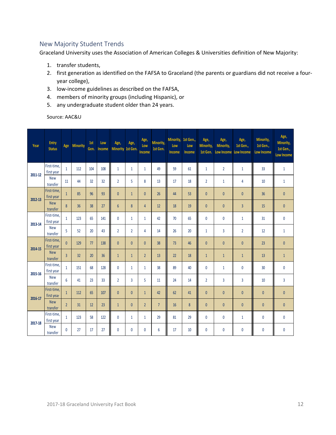## New Majority Student Trends

Graceland University uses the Association of American Colleges & Universities definition of New Majority:

- 1. transfer students,
- 2. first generation as identified on the FAFSA to Graceland (the parents or guardians did not receive a four‐ year college),
- 3. low‐income guidelines as described on the FAFSA,
- 4. members of minority groups (including Hispanic), or
- 5. any undergraduate student older than 24 years.

Source: AAC&U

| Year    | Entry<br><b>Status</b>    | Age            | <b>Minority</b> | 1st<br>Gen. | Low<br>Income | Age,<br>Minority 1st Gen. | Age,           | Age,<br>Low<br>Income | Minority,<br>1st Gen. | Minority, 1st Gen.,<br>Low<br>Income | Low<br><b>Income</b> | Age,<br>Minority,<br>1st Gen. | Age,<br>Minority,<br><b>Low Income</b> | Age,<br>1st Gen.,<br>Low Income | Minority,<br>1st Gen.,<br><b>Low Income</b> | Age,<br>Minority,<br>1st Gen.,<br><b>Low Income</b> |
|---------|---------------------------|----------------|-----------------|-------------|---------------|---------------------------|----------------|-----------------------|-----------------------|--------------------------------------|----------------------|-------------------------------|----------------------------------------|---------------------------------|---------------------------------------------|-----------------------------------------------------|
| 2011-12 | First-time,<br>first year | $\mathbf{1}$   | 112             | 104         | 108           | $\mathbf{1}$              | 1              | $\mathbf{1}$          | 49                    | 59                                   | 61                   | $\mathbf{1}$                  | $\overline{2}$                         | $\mathbf{1}$                    | 33                                          | $\mathbf{1}$                                        |
|         | <b>New</b><br>transfer    | 11             | 44              | 32          | 32            | $\overline{2}$            | 5              | 8                     | 13                    | 17                                   | 18                   | $\overline{2}$                | $\mathbf{1}$                           | 4                               | 10                                          | $\mathbf{1}$                                        |
| 2012-13 | First-time.<br>first year | $\mathbf{1}$   | 85              | 96          | 93            | $\mathbf{0}$              | $\mathbf{1}$   | $\mathbf{0}$          | 26                    | 44                                   | 53                   | $\pmb{0}$                     | $\mathbf{0}$                           | $\mathbf{0}$                    | 36                                          | $\mathbf{0}$                                        |
|         | <b>New</b><br>transfer    | 8              | 36              | 38          | 27            | $6\overline{6}$           | 8              | $\overline{4}$        | 12                    | 18                                   | 19                   | $\mathbf{0}$                  | $\mathbf{0}$                           | $\overline{3}$                  | 15                                          | $\mathbf{0}$                                        |
| 2013-14 | First-time.<br>first year | $\mathbf{1}$   | 123             | 65          | 141           | 0                         | 1              | $\mathbf{1}$          | 42                    | 70                                   | 65                   | 0                             | 0                                      | 1                               | 31                                          | 0                                                   |
|         | <b>New</b><br>transfer    | 5              | 52              | 20          | 43            | $\overline{2}$            | $\overline{2}$ | 4                     | 14                    | 26                                   | 20                   | $\mathbf{1}$                  | 3                                      | $\overline{2}$                  | 12                                          | $\mathbf{1}$                                        |
| 2014-15 | First-time,<br>first year | $\mathbf{0}$   | 129             | 77          | 138           | $\mathbf{0}$              | $\mathbf{0}$   | $\mathbf{0}$          | 38                    | 73                                   | 46                   | $\mathbf{0}$                  | $\mathbf{0}$                           | $\mathbf{0}$                    | 23                                          | $\mathbf{0}$                                        |
|         | <b>New</b><br>transfer    | $\overline{3}$ | 32              | 20          | 36            | $\mathbf{1}$              | $\mathbf{1}$   | $\overline{2}$        | 13                    | 22                                   | 18                   | $\mathbf{1}$                  | $\mathbf{1}$                           | $\mathbf{1}$                    | 13                                          | $\mathbf{1}$                                        |
| 2015-16 | First-time.<br>first year | $\mathbf{1}$   | 151             | 68          | 128           | $\mathbf{0}$              | 1              | $\mathbf{1}$          | 38                    | 89                                   | 40                   | 0                             | $\mathbf{1}$                           | $\mathbf{0}$                    | 30                                          | $\mathbf{0}$                                        |
|         | <b>New</b><br>transfer    | $6\phantom{1}$ | 41              | 23          | 33            | $\overline{2}$            | 3              | 5                     | 11                    | 24                                   | 14                   | $\overline{2}$                | 3                                      | 3                               | 10                                          | 3                                                   |
| 2016-17 | First-time,<br>first year | $\mathbf{1}$   | 112             | 65          | 107           | $\mathbf{0}$              | $\mathbf{0}$   | $\mathbf{1}$          | 42                    | 62                                   | 41                   | $\mathbf{0}$                  | $\mathbf{0}$                           | $\mathbf{0}$                    | $\mathbf{0}$                                | $\mathbf{0}$                                        |
|         | <b>New</b><br>transfer    | $\overline{2}$ | 31              | 12          | 23            | $\mathbf{1}$              | $\mathbf{0}$   | $\overline{2}$        | $\overline{7}$        | 16                                   | 8                    | $\mathbf{0}$                  | $\mathbf{0}$                           | $\mathbf{0}$                    | $\mathbf{0}$                                | $\mathbf{0}$                                        |
| 2017-18 | First-time.<br>first year | $\mathbf{1}$   | 123             | 58          | 122           | 0                         | 1              | $\mathbf{1}$          | 29                    | 81                                   | 29                   | 0                             | $\mathbf{0}$                           | $\mathbf{1}$                    | 0                                           | 0                                                   |
|         | <b>New</b><br>transfer    | $\mathbf{0}$   | 27              | 17          | 27            | 0                         | $\mathbf{0}$   | $\mathbf{0}$          | 6                     | 17                                   | 10                   | 0                             | $\mathbf{0}$                           | $\mathbf{0}$                    | 0                                           | 0                                                   |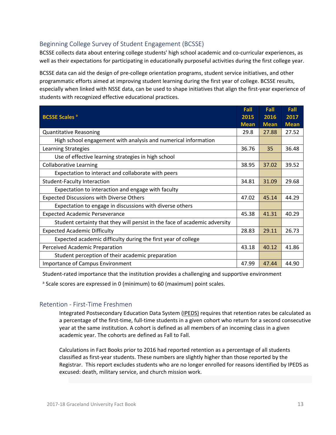## Beginning College Survey of Student Engagement (BCSSE)

BCSSE collects data about entering college students' high school academic and co-curricular experiences, as well as their expectations for participating in educationally purposeful activities during the first college year.

BCSSE data can aid the design of pre‐college orientation programs, student service initiatives, and other programmatic efforts aimed at improving student learning during the first year of college. BCSSE results, especially when linked with NSSE data, can be used to shape initiatives that align the first‐year experience of students with recognized effective educational practices.

|                                                                            | Fall        | Fall        | Fall        |
|----------------------------------------------------------------------------|-------------|-------------|-------------|
| <b>BCSSE Scales<sup>a</sup></b>                                            | 2015        | 2016        | 2017        |
|                                                                            | <b>Mean</b> | <b>Mean</b> | <b>Mean</b> |
| <b>Quantitative Reasoning</b>                                              | 29.8        | 27.88       | 27.52       |
| High school engagement with analysis and numerical information             |             |             |             |
| <b>Learning Strategies</b>                                                 | 36.76       | 35          | 36.48       |
| Use of effective learning strategies in high school                        |             |             |             |
| <b>Collaborative Learning</b>                                              | 38.95       | 37.02       | 39.52       |
| Expectation to interact and collaborate with peers                         |             |             |             |
| <b>Student-Faculty Interaction</b>                                         | 34.81       | 31.09       | 29.68       |
| Expectation to interaction and engage with faculty                         |             |             |             |
| <b>Expected Discussions with Diverse Others</b>                            | 47.02       | 45.14       | 44.29       |
| Expectation to engage in discussions with diverse others                   |             |             |             |
| <b>Expected Academic Perseverance</b>                                      | 45.38       | 41.31       | 40.29       |
| Student certainty that they will persist in the face of academic adversity |             |             |             |
| <b>Expected Academic Difficulty</b>                                        | 28.83       | 29.11       | 26.73       |
| Expected academic difficulty during the first year of college              |             |             |             |
| Perceived Academic Preparation                                             | 43.18       | 40.12       | 41.86       |
| Student perception of their academic preparation                           |             |             |             |
| Importance of Campus Environment                                           | 47.99       | 47.44       | 44.90       |

Student‐rated importance that the institution provides a challenging and supportive environment

<sup>a</sup> Scale scores are expressed in 0 (minimum) to 60 (maximum) point scales.

#### Retention ‐ First‐Time Freshmen

Integrated Postsecondary Education Data System (IPEDS) requires that retention rates be calculated as a percentage of the first-time, full-time students in a given cohort who return for a second consecutive year at the same institution. A cohort is defined as all members of an incoming class in a given academic year. The cohorts are defined as Fall to Fall.

Calculations in Fact Books prior to 2016 had reported retention as a percentage of all students classified as first-year students. These numbers are slightly higher than those reported by the Registrar. This report excludes students who are no longer enrolled for reasons identified by IPEDS as excused: death, military service, and church mission work.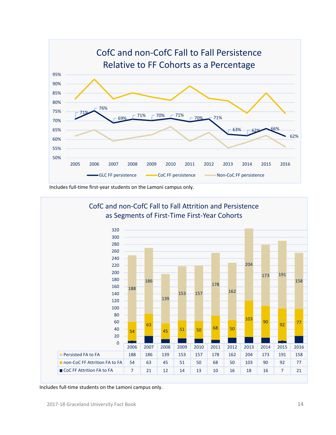

Includes full‐time first‐year students on the Lamoni campus only.



Includes full‐time students on the Lamoni campus only.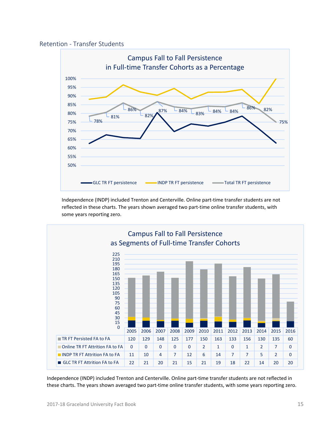



Independence (INDP) included Trenton and Centerville. Online part‐time transfer students are not reflected in these charts. The years shown averaged two part‐time online transfer students, with some years reporting zero.



Independence (INDP) included Trenton and Centerville. Online part‐time transfer students are not reflected in these charts. The years shown averaged two part-time online transfer students, with some years reporting zero.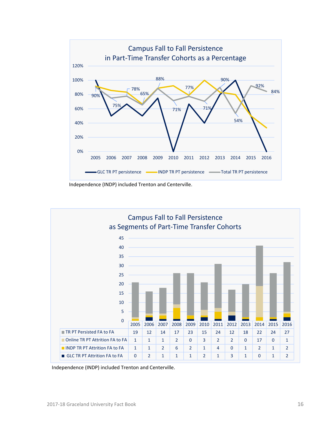





Independence (INDP) included Trenton and Centerville.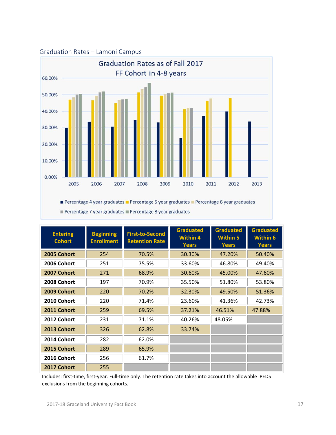

| <b>Entering</b><br><b>Cohort</b> | <b>Beginning</b><br><b>Enrollment</b> | <b>First-to-Second</b><br><b>Retention Rate</b> | <b>Graduated</b><br>Within 4<br><b>Years</b> | <b>Graduated</b><br><b>Within 5</b><br><b>Years</b> | <b>Graduated</b><br><b>Within 6</b><br><b>Years</b> |
|----------------------------------|---------------------------------------|-------------------------------------------------|----------------------------------------------|-----------------------------------------------------|-----------------------------------------------------|
| 2005 Cohort                      | 254                                   | 70.5%                                           | 30.30%                                       | 47.20%                                              | 50.40%                                              |
| 2006 Cohort                      | 251                                   | 75.5%                                           | 33.60%                                       | 46.80%                                              | 49.40%                                              |
| 2007 Cohort                      | 271                                   | 68.9%                                           | 30.60%                                       | 45.00%                                              | 47.60%                                              |
| 2008 Cohort                      | 197                                   | 70.9%                                           | 35.50%                                       | 51.80%                                              | 53.80%                                              |
| 2009 Cohort                      | 220                                   | 70.2%                                           | 32.30%                                       | 49.50%                                              | 51.36%                                              |
| 2010 Cohort                      | 220                                   | 71.4%                                           | 23.60%                                       | 41.36%                                              | 42.73%                                              |
| 2011 Cohort                      | 259                                   | 69.5%                                           | 37.21%                                       | 46.51%                                              | 47.88%                                              |
| 2012 Cohort                      | 231                                   | 71.1%                                           | 40.26%                                       | 48.05%                                              |                                                     |
| 2013 Cohort                      | 326                                   | 62.8%                                           | 33.74%                                       |                                                     |                                                     |
| 2014 Cohort                      | 282                                   | 62.0%                                           |                                              |                                                     |                                                     |
| 2015 Cohort                      | 289                                   | 65.9%                                           |                                              |                                                     |                                                     |
| 2016 Cohort                      | 256                                   | 61.7%                                           |                                              |                                                     |                                                     |
| 2017 Cohort                      | 255                                   |                                                 |                                              |                                                     |                                                     |

Includes: first‐time, first‐year. Full‐time only. The retention rate takes into account the allowable IPEDS exclusions from the beginning cohorts.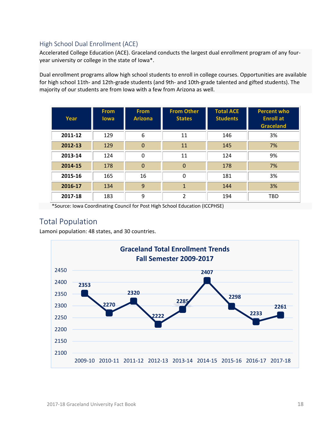## High School Dual Enrollment (ACE)

Accelerated College Education (ACE). Graceland conducts the largest dual enrollment program of any four‐ year university or college in the state of Iowa\*.

Dual enrollment programs allow high school students to enroll in college courses. Opportunities are available for high school 11th- and 12th-grade students (and 9th- and 10th-grade talented and gifted students). The majority of our students are from Iowa with a few from Arizona as well.

| Year    | <b>From</b><br><b>lowa</b> | <b>From</b><br><b>Arizona</b> | <b>From Other</b><br><b>States</b> | <b>Total ACE</b><br><b>Students</b> | <b>Percent who</b><br><b>Enroll</b> at<br><b>Graceland</b> |
|---------|----------------------------|-------------------------------|------------------------------------|-------------------------------------|------------------------------------------------------------|
| 2011-12 | 129                        | 6                             | 11                                 | 146                                 | 3%                                                         |
| 2012-13 | 129                        | $\Omega$                      | 11                                 | 145                                 | 7%                                                         |
| 2013-14 | 124                        | $\Omega$                      | 11                                 | 124                                 | 9%                                                         |
| 2014-15 | 178                        | $\Omega$                      | $\mathbf 0$                        | 178                                 | 7%                                                         |
| 2015-16 | 165                        | 16                            | 0                                  | 181                                 | 3%                                                         |
| 2016-17 | 134                        | 9                             | $\mathbf{1}$                       | 144                                 | 3%                                                         |
| 2017-18 | 183                        | 9                             | 2                                  | 194                                 | TBD                                                        |

\*Source: Iowa Coordinating Council for Post High School Education (ICCPHSE)

# Total Population

Lamoni population: 48 states, and 30 countries.

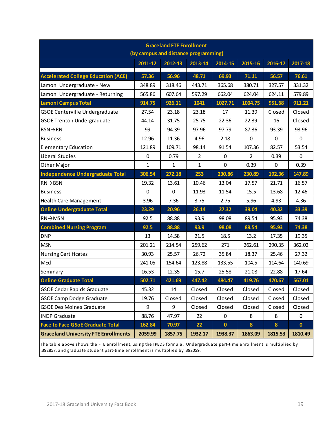| <b>Graceland FTE Enrollment</b><br>(by campus and distance programming) |              |              |              |             |                |             |              |  |
|-------------------------------------------------------------------------|--------------|--------------|--------------|-------------|----------------|-------------|--------------|--|
|                                                                         | 2011-12      | 2012-13      | 2013-14      | 2014-15     | 2015-16        | 2016-17     | 2017-18      |  |
| <b>Accelerated College Education (ACE)</b>                              | 57.36        | 56.96        | 48.71        | 69.93       | 71.11          | 56.57       | 76.61        |  |
| Lamoni Undergraduate - New                                              | 348.89       | 318.46       | 443.71       | 365.68      | 380.71         | 327.57      | 331.32       |  |
| Lamoni Undergraduate - Returning                                        | 565.86       | 607.64       | 597.29       | 662.04      | 624.04         | 624.11      | 579.89       |  |
| <b>Lamoni Campus Total</b>                                              | 914.75       | 926.11       | 1041         | 1027.71     | 1004.75        | 951.68      | 911.21       |  |
| <b>GSOE Centerville Undergraduate</b>                                   | 27.54        | 23.18        | 23.18        | 17          | 11.39          | Closed      | Closed       |  |
| <b>GSOE Trenton Undergraduate</b>                                       | 44.14        | 31.75        | 25.75        | 22.36       | 22.39          | 16          | Closed       |  |
| $BSN \rightarrow RN$                                                    | 99           | 94.39        | 97.96        | 97.79       | 87.36          | 93.39       | 93.96        |  |
| <b>Business</b>                                                         | 12.96        | 11.36        | 4.96         | 2.18        | $\mathbf 0$    | 0           | 0            |  |
| <b>Elementary Education</b>                                             | 121.89       | 109.71       | 98.14        | 91.54       | 107.36         | 82.57       | 53.54        |  |
| Liberal Studies                                                         | $\pmb{0}$    | 0.79         | 2            | $\pmb{0}$   | $\overline{2}$ | 0.39        | 0            |  |
| Other Major                                                             | $\mathbf{1}$ | $\mathbf{1}$ | $\mathbf{1}$ | $\mathbf 0$ | 0.39           | $\mathbf 0$ | 0.39         |  |
| <b>Independence Undergraduate Total</b>                                 | 306.54       | 272.18       | 253          | 230.86      | 230.89         | 192.36      | 147.89       |  |
| $RN \rightarrow BSN$                                                    | 19.32        | 13.61        | 10.46        | 13.04       | 17.57          | 21.71       | 16.57        |  |
| <b>Business</b>                                                         | $\mathbf 0$  | $\mathbf 0$  | 11.93        | 11.54       | 15.5           | 13.68       | 12.46        |  |
| <b>Health Care Management</b>                                           | 3.96         | 7.36         | 3.75         | 2.75        | 5.96           | 4.93        | 4.36         |  |
| <b>Online Undergraduate Total</b>                                       | 23.29        | 20.96        | 26.14        | 27.32       | 39.04          | 40.32       | 33.39        |  |
| $RN \rightarrow MSN$                                                    | 92.5         | 88.88        | 93.9         | 98.08       | 89.54          | 95.93       | 74.38        |  |
| <b>Combined Nursing Program</b>                                         | 92.5         | 88.88        | 93.9         | 98.08       | 89.54          | 95.93       | 74.38        |  |
| <b>DNP</b>                                                              | 13           | 14.58        | 21.5         | 18.5        | 13.2           | 17.35       | 19.35        |  |
| <b>MSN</b>                                                              | 201.21       | 214.54       | 259.62       | 271         | 262.61         | 290.35      | 362.02       |  |
| <b>Nursing Certificates</b>                                             | 30.93        | 25.57        | 26.72        | 35.84       | 18.37          | 25.46       | 27.32        |  |
| MEd                                                                     | 241.05       | 154.64       | 123.88       | 133.55      | 104.5          | 114.64      | 140.69       |  |
| Seminary                                                                | 16.53        | 12.35        | 15.7         | 25.58       | 21.08          | 22.88       | 17.64        |  |
| <b>Online Graduate Total</b>                                            | 502.71       | 421.69       | 447.42       | 484.47      | 419.76         | 470.67      | 567.01       |  |
| <b>GSOE Cedar Rapids Graduate</b>                                       | 45.32        | 14           | Closed       | Closed      | Closed         | Closed      | Closed       |  |
| <b>GSOE Camp Dodge Graduate</b>                                         | 19.76        | Closed       | Closed       | Closed      | Closed         | Closed      | Closed       |  |
| <b>GSOE Des Moines Graduate</b>                                         | 9            | 9            | Closed       | Closed      | Closed         | Closed      | Closed       |  |
| <b>INDP Graduate</b>                                                    | 88.76        | 47.97        | 22           | 0           | 8              | 8           | 0            |  |
| <b>Face to Face GSoE Graduate Total</b>                                 | 162.84       | 70.97        | 22           | $\mathbf 0$ | 8              | $\bf{8}$    | $\mathbf{0}$ |  |
| <b>Graceland University FTE Enrollments</b>                             | 2059.99      | 1857.75      | 1932.17      | 1938.37     | 1863.09        | 1815.53     | 1810.49      |  |

The table above shows the FTE enrollment, using the IPEDS formula. Undergraduate part-time enrollment is multiplied by .392857, and graduate student part-time enrollment is multiplied by .382059.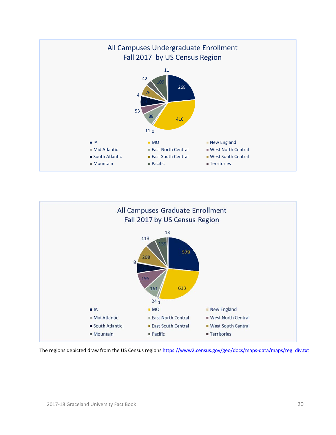



The regions depicted draw from the US Census regions https://www2.census.gov/geo/docs/maps-data/maps/reg\_div.txt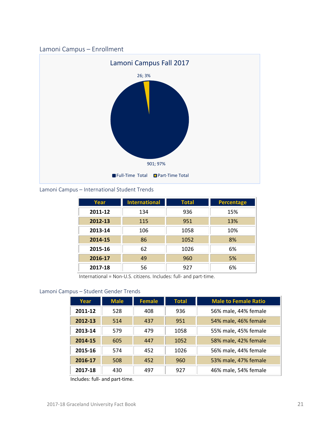## Lamoni Campus – Enrollment



Lamoni Campus – International Student Trends

| Year    | <b>International</b> | Total | <b>Percentage</b> |
|---------|----------------------|-------|-------------------|
| 2011-12 | 134                  | 936   | 15%               |
| 2012-13 | 115                  | 951   | 13%               |
| 2013-14 | 106                  | 1058  | 10%               |
| 2014-15 | 86                   | 1052  | 8%                |
| 2015-16 | 62                   | 1026  | 6%                |
| 2016-17 | 49                   | 960   | 5%                |
| 2017-18 | 56                   | 927   | 6%                |

International = Non‐U.S. citizens. Includes: full‐ and part‐time.

## Lamoni Campus – Student Gender Trends

| Year    | <b>Male</b> | <b>Female</b> | <b>Total</b> | <b>Male to Female Ratio</b> |
|---------|-------------|---------------|--------------|-----------------------------|
| 2011-12 | 528         | 408           | 936          | 56% male, 44% female        |
| 2012-13 | 514         | 437           | 951          | 54% male, 46% female        |
| 2013-14 | 579         | 479           | 1058         | 55% male, 45% female        |
| 2014-15 | 605         | 447           | 1052         | 58% male, 42% female        |
| 2015-16 | 574         | 452           | 1026         | 56% male, 44% female        |
| 2016-17 | 508         | 452           | 960          | 53% male, 47% female        |
| 2017-18 | 430         | 497           | 927          | 46% male, 54% female        |

Includes: full‐ and part‐time.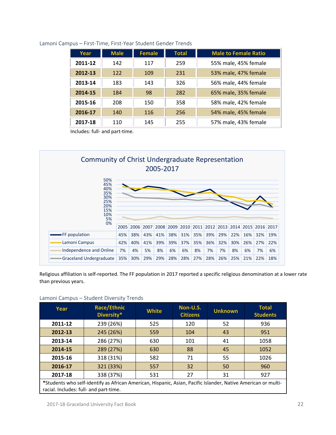| Year    | <b>Male</b> | <b>Female</b> | <b>Total</b> | <b>Male to Female Ratio</b> |
|---------|-------------|---------------|--------------|-----------------------------|
| 2011-12 | 142         | 117           | 259          | 55% male, 45% female        |
| 2012-13 | 122         | 109           | 231          | 53% male, 47% female        |
| 2013-14 | 183         | 143           | 326          | 56% male, 44% female        |
| 2014-15 | 184         | 98            | 282          | 65% male, 35% female        |
| 2015-16 | 208         | 150           | 358          | 58% male, 42% female        |
| 2016-17 | 140         | 116           | 256          | 54% male, 45% female        |
| 2017-18 | 110         | 145           | 255          | 57% male, 43% female        |

#### Lamoni Campus – First‐Time, First‐Year Student Gender Trends

Includes: full‐ and part‐time.



Religious affiliation is self‐reported. The FF population in 2017 reported a specific religious denomination at a lower rate than previous years.

#### Lamoni Campus – Student Diversity Trends

| Year                                                                                                                                                    | Race/Ethnic<br>Diversity* | <b>White</b> | Non-U.S.<br><b>Citizens</b> | <b>Unknown</b> | <b>Total</b><br><b>Students</b> |  |
|---------------------------------------------------------------------------------------------------------------------------------------------------------|---------------------------|--------------|-----------------------------|----------------|---------------------------------|--|
| 2011-12                                                                                                                                                 | 239 (26%)                 | 525          | 120                         | 52             | 936                             |  |
| 2012-13                                                                                                                                                 | 245 (26%)                 | 559          | 104                         | 43             | 951                             |  |
| 2013-14                                                                                                                                                 | 286 (27%)                 | 630          | 101                         | 41             | 1058                            |  |
| 2014-15                                                                                                                                                 | 289 (27%)                 | 630          | 88                          | 45             | 1052                            |  |
| 2015-16                                                                                                                                                 | 318 (31%)                 | 582          | 71                          | 55             | 1026                            |  |
| 2016-17                                                                                                                                                 | 321 (33%)                 | 557          | 32                          | 50             | 960                             |  |
| 2017-18                                                                                                                                                 | 338 (37%)                 | 531          | 27                          | 31             | 927                             |  |
| *Students who self-identify as African American, Hispanic, Asian, Pacific Islander, Native American or multi-<br>racial. Includes: full- and part-time. |                           |              |                             |                |                                 |  |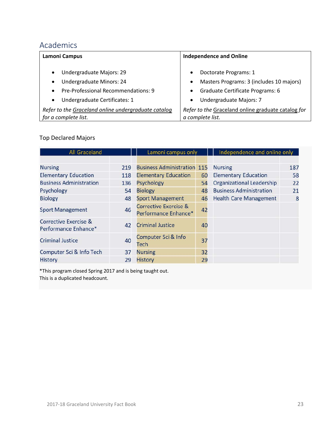# Academics

| Lamoni Campus                                       | <b>Independence and Online</b>                     |  |  |  |
|-----------------------------------------------------|----------------------------------------------------|--|--|--|
| Undergraduate Majors: 29<br>$\bullet$               | Doctorate Programs: 1                              |  |  |  |
| Undergraduate Minors: 24                            | Masters Programs: 3 (includes 10 majors)           |  |  |  |
| $\bullet$                                           | $\bullet$                                          |  |  |  |
| Pre-Professional Recommendations: 9                 | Graduate Certificate Programs: 6                   |  |  |  |
| $\bullet$                                           | $\bullet$                                          |  |  |  |
| Undergraduate Certificates: 1                       | Undergraduate Majors: 7                            |  |  |  |
| $\bullet$                                           | $\bullet$                                          |  |  |  |
| Refer to the Graceland online undergraduate catalog | Refer to the Graceland online graduate catalog for |  |  |  |
| for a complete list.                                | a complete list.                                   |  |  |  |

# Top Declared Majors

| <b>All Graceland</b>                                     |     | Lamoni campus only                                       | Independence and online only |                                  |     |
|----------------------------------------------------------|-----|----------------------------------------------------------|------------------------------|----------------------------------|-----|
|                                                          |     |                                                          |                              |                                  |     |
| <b>Nursing</b>                                           | 219 | <b>Business Administration 115</b>                       |                              | <b>Nursing</b>                   | 187 |
| <b>Elementary Education</b>                              | 118 | <b>Elementary Education</b>                              | 60                           | <b>Elementary Education</b>      | 58  |
| <b>Business Administration</b>                           | 136 | <b>Psychology</b>                                        | 54                           | <b>Organizational Leadership</b> | 22  |
| Psychology                                               | 54  | <b>Biology</b>                                           | 48                           | <b>Business Administration</b>   | 21  |
| <b>Biology</b>                                           | 48  | <b>Sport Management</b>                                  | 46                           | <b>Health Care Management</b>    | 8   |
| <b>Sport Management</b>                                  | 46  | <b>Corrective Exercise &amp;</b><br>Performance Enhance* | 42                           |                                  |     |
| <b>Corrective Exercise &amp;</b><br>Performance Enhance* | 42  | <b>Criminal Justice</b>                                  | 40                           |                                  |     |
| <b>Criminal Justice</b>                                  | 40  | Computer Sci & Info<br>Tech                              | 37                           |                                  |     |
| Computer Sci & Info Tech                                 | 37  | <b>Nursing</b>                                           | 32                           |                                  |     |
| <b>History</b>                                           | 29  | <b>History</b>                                           | 29                           |                                  |     |

\*This program closed Spring 2017 and is being taught out. This is a duplicated headcount.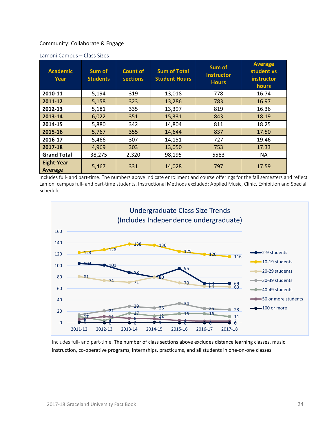#### Community: Collaborate & Engage

| <b>Academic</b><br>Year             | Sum of<br><b>Students</b> | Count of<br><b>sections</b> | <b>Sum of Total</b><br><b>Student Hours</b> | Sum of<br><b>Instructor</b><br><b>Hours</b> | <b>Average</b><br>student vs<br>instructor<br><b>hours</b> |
|-------------------------------------|---------------------------|-----------------------------|---------------------------------------------|---------------------------------------------|------------------------------------------------------------|
| 2010-11                             | 5,194                     | 319                         | 13,018                                      | 778                                         | 16.74                                                      |
| 2011-12                             | 5,158                     | 323                         | 13,286                                      | 783                                         | 16.97                                                      |
| 2012-13                             | 5,181                     | 335                         | 13,397                                      | 819                                         | 16.36                                                      |
| 2013-14                             | 6,022                     | 351                         | 15,331                                      | 843                                         | 18.19                                                      |
| 2014-15                             | 5,880                     | 342                         | 14,804                                      | 811                                         | 18.25                                                      |
| 2015-16                             | 5,767                     | 355                         | 14,644                                      | 837                                         | 17.50                                                      |
| 2016-17                             | 5,466                     | 307                         | 14,151                                      | 727                                         | 19.46                                                      |
| 2017-18                             | 4,969                     | 303                         | 13,050                                      | 753                                         | 17.33                                                      |
| <b>Grand Total</b>                  | 38,275                    | 2,320                       | 98,195                                      | 5583                                        | NA.                                                        |
| <b>Eight-Year</b><br><b>Average</b> | 5,467                     | 331                         | 14,028                                      | 797                                         | 17.59                                                      |

#### Lamoni Campus – Class Sizes

Includes full‐ and part‐time. The numbers above indicate enrollment and course offerings for the fall semesters and reflect Lamoni campus full‐ and part‐time students. Instructional Methods excluded: Applied Music, Clinic, Exhibition and Special Schedule.



Includes full‐ and part‐time. The number of class sections above excludes distance learning classes, music instruction, co-operative programs, internships, practicums, and all students in one-on-one classes.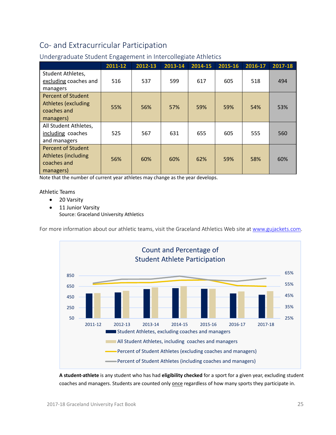# Co‐ and Extracurricular Participation

|                                                                                     | 2011-12 | 2012-13 | 2013-14 | 2014-15 | 2015-16 | 2016-17 | 2017-18 |
|-------------------------------------------------------------------------------------|---------|---------|---------|---------|---------|---------|---------|
| Student Athletes,<br>excluding coaches and<br>managers                              | 516     | 537     | 599     | 617     | 605     | 518     | 494     |
| Percent of Student<br><b>Athletes (excluding</b><br>coaches and<br>managers)        | 55%     | 56%     | 57%     | 59%     | 59%     | 54%     | 53%     |
| All Student Athletes,<br>including coaches<br>and managers                          | 525     | 567     | 631     | 655     | 605     | 555     | 560     |
| <b>Percent of Student</b><br><b>Athletes (including</b><br>coaches and<br>managers) | 56%     | 60%     | 60%     | 62%     | 59%     | 58%     | 60%     |

## Undergraduate Student Engagement in Intercollegiate Athletics

Note that the number of current year athletes may change as the year develops.

Athletic Teams

- 20 Varsity
- 11 Junior Varsity Source: Graceland University Athletics

For more information about our athletic teams, visit the Graceland Athletics Web site at www.gujackets.com.



**A student‐athlete** is any student who has had **eligibility checked** for a sport for a given year, excluding student coaches and managers. Students are counted only once regardless of how many sports they participate in.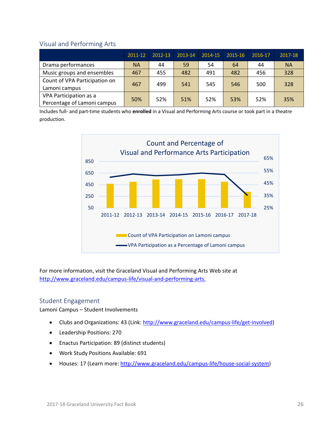#### Visual and Performing Arts

|                                                       | 2011-12   | 2012-13 | 2013-14 | 2014-15 | 2015-16 | 2016-17 | 2017-18   |
|-------------------------------------------------------|-----------|---------|---------|---------|---------|---------|-----------|
| Drama performances                                    | <b>NA</b> | 44      | 59      | 54      | 64      | 44      | <b>NA</b> |
| Music groups and ensembles                            | 467       | 455     | 482     | 491     | 482     | 456     | 328       |
| Count of VPA Participation on<br>Lamoni campus        | 467       | 499     | 541     | 545     | 546     | 500     | 328       |
| VPA Participation as a<br>Percentage of Lamoni campus | 50%       | 52%     | 51%     | 52%     | 53%     | 52%     | 35%       |

Includes full‐ and part‐time students who **enrolled** in a Visual and Performing Arts course or took part in a theatre production.



For more information, visit the Graceland Visual and Performing Arts Web site at http://www.graceland.edu/campus-life/visual-and-performing-arts.

#### Student Engagement

Lamoni Campus – Student Involvements

- Clubs and Organizations: 43 (Link: http://www.graceland.edu/campus-life/get-involved)
- Leadership Positions: 270
- Enactus Participation: 89 (distinct students)
- Work Study Positions Available: 691
- Houses: 17 (Learn more: http://www.graceland.edu/campus-life/house-social-system)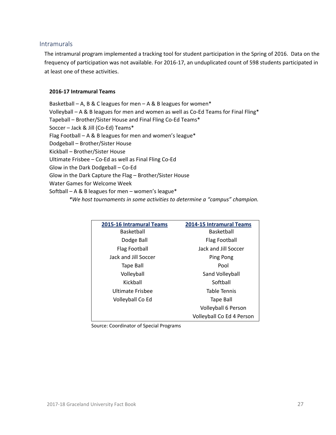#### Intramurals

The intramural program implemented a tracking tool for student participation in the Spring of 2016. Data on the frequency of participation was not available. For 2016‐17, an unduplicated count of 598 students participated in at least one of these activities.

#### **2016‐17 Intramural Teams**

Basketball – A, B & C leagues for men – A & B leagues for women\* Volleyball – A & B leagues for men and women as well as Co-Ed Teams for Final Fling\* Tapeball – Brother/Sister House and Final Fling Co‐Ed Teams\* Soccer – Jack & Jill (Co‐Ed) Teams\* Flag Football – A & B leagues for men and women's league\* Dodgeball – Brother/Sister House Kickball – Brother/Sister House Ultimate Frisbee – Co‐Ed as well as Final Fling Co‐Ed Glow in the Dark Dodgeball – Co‐Ed Glow in the Dark Capture the Flag – Brother/Sister House Water Games for Welcome Week Softball – A & B leagues for men – women's league\* *\*We host tournaments in some activities to determine a "campus" champion.* 

| 2015-16 Intramural Teams | 2014-15 Intramural Teams  |
|--------------------------|---------------------------|
| Basketball               | Basketball                |
| Dodge Ball               | Flag Football             |
| Flag Football            | Jack and Jill Soccer      |
| Jack and Jill Soccer     | Ping Pong                 |
| <b>Tape Ball</b>         | Pool                      |
| Volleyball               | Sand Volleyball           |
| Kickball                 | Softball                  |
| Ultimate Frisbee         | Table Tennis              |
| Volleyball Co Ed         | Tape Ball                 |
|                          | Volleyball 6 Person       |
|                          | Volleyball Co Ed 4 Person |

Source: Coordinator of Special Programs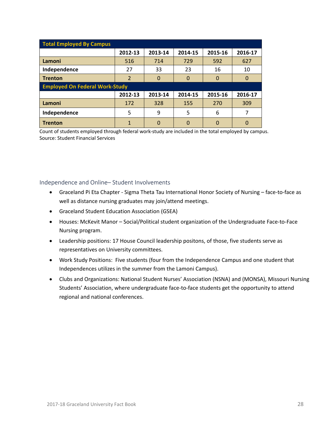| <b>Total Employed By Campus</b>       |         |          |          |          |          |  |  |
|---------------------------------------|---------|----------|----------|----------|----------|--|--|
|                                       | 2012-13 | 2013-14  | 2014-15  | 2015-16  | 2016-17  |  |  |
| Lamoni                                | 516     | 714      | 729      | 592      | 627      |  |  |
| Independence                          | 27      | 33       | 23       | 16       | 10       |  |  |
| <b>Trenton</b>                        | 2       | $\Omega$ | $\Omega$ | $\Omega$ | 0        |  |  |
| <b>Employed On Federal Work-Study</b> |         |          |          |          |          |  |  |
|                                       | 2012-13 | 2013-14  | 2014-15  | 2015-16  | 2016-17  |  |  |
| Lamoni                                | 172     | 328      | 155      | 270      | 309      |  |  |
| Independence                          | 5       | 9        | 5        | 6        |          |  |  |
| <b>Trenton</b>                        | 1       | 0        | $\Omega$ | $\Omega$ | $\Omega$ |  |  |

Count of students employed through federal work‐study are included in the total employed by campus. Source: Student Financial Services

#### Independence and Online– Student Involvements

- Graceland Pi Eta Chapter Sigma Theta Tau International Honor Society of Nursing face-to-face as well as distance nursing graduates may join/attend meetings.
- Graceland Student Education Association (GSEA)
- Houses: McKevit Manor Social/Political student organization of the Undergraduate Face-to-Face Nursing program.
- Leadership positions: 17 House Council leadership positons, of those, five students serve as representatives on University committees.
- Work Study Positions: Five students (four from the Independence Campus and one student that Independences utilizes in the summer from the Lamoni Campus).
- Clubs and Organizations: National Student Nurses' Association (NSNA) and (MONSA), Missouri Nursing Students' Association, where undergraduate face‐to‐face students get the opportunity to attend regional and national conferences.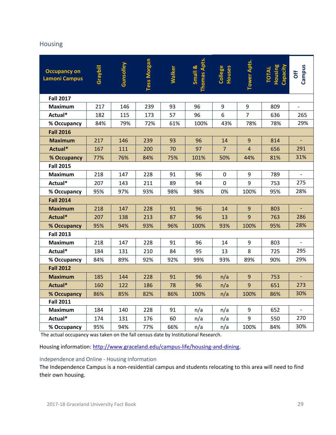## Housing

| <b>Occupancy on</b><br><b>Lamoni Campus</b> | Graybill | Gunsolley | <b>Tess Morgan</b> | <b>Walker</b> | <b>Thomas Apts</b><br>Small & | College<br>Houses | <b>Tower Apts.</b> | <b>TOTAL</b><br>Housing<br>Capacity | Campus<br>Off  |
|---------------------------------------------|----------|-----------|--------------------|---------------|-------------------------------|-------------------|--------------------|-------------------------------------|----------------|
| <b>Fall 2017</b>                            |          |           |                    |               |                               |                   |                    |                                     |                |
| <b>Maximum</b>                              | 217      | 146       | 239                | 93            | 96                            | 9                 | 9                  | 809                                 |                |
| Actual*                                     | 182      | 115       | 173                | 57            | 96                            | 6                 | $\overline{7}$     | 636                                 | 265            |
| % Occupancy                                 | 84%      | 79%       | 72%                | 61%           | 100%                          | 43%               | 78%                | 78%                                 | 29%            |
| <b>Fall 2016</b>                            |          |           |                    |               |                               |                   |                    |                                     |                |
| <b>Maximum</b>                              | 217      | 146       | 239                | 93            | 96                            | 14                | 9                  | 814                                 |                |
| Actual*                                     | 167      | 111       | 200                | 70            | 97                            | $\overline{7}$    | $\overline{4}$     | 656                                 | 291            |
| % Occupancy                                 | 77%      | 76%       | 84%                | 75%           | 101%                          | 50%               | 44%                | 81%                                 | 31%            |
| <b>Fall 2015</b>                            |          |           |                    |               |                               |                   |                    |                                     |                |
| <b>Maximum</b>                              | 218      | 147       | 228                | 91            | 96                            | 0                 | 9                  | 789                                 |                |
| Actual*                                     | 207      | 143       | 211                | 89            | 94                            | $\mathbf 0$       | 9                  | 753                                 | 275            |
| % Occupancy                                 | 95%      | 97%       | 93%                | 98%           | 98%                           | 0%                | 100%               | 95%                                 | 28%            |
| <b>Fall 2014</b>                            |          |           |                    |               |                               |                   |                    |                                     |                |
| <b>Maximum</b>                              | 218      | 147       | 228                | 91            | 96                            | 14                | 9                  | 803                                 |                |
| Actual*                                     | 207      | 138       | 213                | 87            | 96                            | 13                | 9                  | 763                                 | 286            |
| % Occupancy                                 | 95%      | 94%       | 93%                | 96%           | 100%                          | 93%               | 100%               | 95%                                 | 28%            |
| <b>Fall 2013</b>                            |          |           |                    |               |                               |                   |                    |                                     |                |
| <b>Maximum</b>                              | 218      | 147       | 228                | 91            | 96                            | 14                | 9                  | 803                                 | $\overline{a}$ |
| Actual*                                     | 184      | 131       | 210                | 84            | 95                            | 13                | 8                  | 725                                 | 295            |
| % Occupancy                                 | 84%      | 89%       | 92%                | 92%           | 99%                           | 93%               | 89%                | 90%                                 | 29%            |
| <b>Fall 2012</b>                            |          |           |                    |               |                               |                   |                    |                                     |                |
| <b>Maximum</b>                              | 185      | 144       | 228                | 91            | 96                            | n/a               | 9                  | 753                                 | ÷.             |
| Actual*                                     | 160      | 122       | 186                | 78            | 96                            | n/a               | 9                  | 651                                 | 273            |
| % Occupancy                                 | 86%      | 85%       | 82%                | 86%           | 100%                          | n/a               | 100%               | 86%                                 | 30%            |
| <b>Fall 2011</b>                            |          |           |                    |               |                               |                   |                    |                                     |                |
| <b>Maximum</b>                              | 184      | 140       | 228                | 91            | n/a                           | n/a               | 9                  | 652                                 | $\overline{a}$ |
| Actual*                                     | 174      | 131       | 176                | 60            | n/a                           | n/a               | 9                  | 550                                 | 270            |
| % Occupancy                                 | 95%      | 94%       | 77%                | 66%           | n/a                           | n/a               | 100%               | 84%                                 | 30%            |

The actual occupancy was taken on the fall census date by Institutional Research.

Housing information: http://www.graceland.edu/campus-life/housing-and-dining.

#### Independence and Online ‐ Housing Information

The Independence Campus is a non‐residential campus and students relocating to this area will need to find their own housing.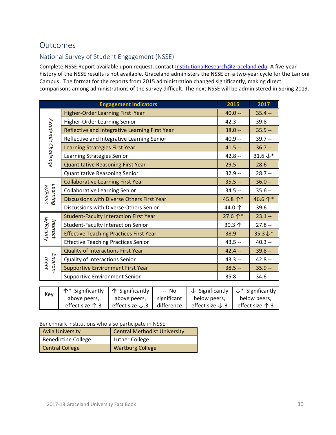# **Outcomes**

## National Survey of Student Engagement (NSSE)

Complete NSSE Report available upon request, contact InstitutionalResearch@graceland.edu. A five‐year history of the NSSE results is not available. Graceland administers the NSSE on a two‐year cycle for the Lamoni Campus. The format for the reports from 2015 administration changed significantly, making direct comparisons among administrations of the survey difficult. The next NSSE will be administered in Spring 2019.

|                       | <b>Engagement Indicators</b>                   | 2015     | 2017                |
|-----------------------|------------------------------------------------|----------|---------------------|
|                       | Higher-Order Learning First Year               | $40.0 -$ | $35.4 -$            |
|                       | Higher-Order Learning Senior                   | $42.3 -$ | $39.8 -$            |
|                       | Reflective and Integrative Learning First Year | $38.0 -$ | $35.5 -$            |
|                       | Reflective and Integrative Learning Senior     | $40.9 -$ | $39.7 -$            |
| Academic Challenge    | Learning Strategies First Year                 | $41.5 -$ | $36.7 -$            |
|                       | Learning Strategies Senior                     | $42.8 -$ | 31.6 $\downarrow^*$ |
|                       | <b>Quantitative Reasoning First Year</b>       | $29.5 -$ | $28.6 -$            |
|                       | Quantitative Reasoning Senior                  | $32.9 -$ | $28.7 -$            |
|                       | <b>Collaborative Learning First Year</b>       | $35.5 -$ | $36.0 -$            |
| Learning<br>w/Peers   | <b>Collaborative Learning Senior</b>           | $34.5 -$ | $35.6 -$            |
|                       | Discussions with Diverse Others First Year     | 45.8个*   | 46.6个*              |
|                       | Discussions with Diverse Others Senior         | 44.0个    | $39.6 -$            |
|                       | <b>Student-Faculty Interaction First Year</b>  | 27.6 个*  | $23.1 -$            |
| w/Faculty<br>Interact | <b>Student-Faculty Interaction Senior</b>      | 30.3 个   | $27.8 -$            |
|                       | <b>Effective Teaching Practices First Year</b> | $38.9 -$ | $35.3\text{+}*$     |
|                       | <b>Effective Teaching Practices Senior</b>     | $43.5 -$ | $40.3 -$            |
|                       | Quality of Interactions First Year             | $42.4 -$ | $39.8 -$            |
| ment                  | Quality of Interactions Senior                 | $43.3 -$ | $42.8 -$            |
| Environ-              | <b>Supportive Environment First Year</b>       | $38.5 -$ | $35.9 -$            |
|                       | <b>Supportive Environment Senior</b>           | $35.8 -$ | $34.6 -$            |

| Key | $\uparrow^*$ Significantly $\uparrow \uparrow$ Significantly |                             | -- No       | $\downarrow$ Significantly  | $\downarrow^*$ Significantly |
|-----|--------------------------------------------------------------|-----------------------------|-------------|-----------------------------|------------------------------|
|     | above peers,                                                 | above peers,                | significant | below peers,                | below peers,                 |
|     | effect size $\uparrow$ .3                                    | effect size $\downarrow$ .3 | difference  | effect size $\downarrow$ .3 | effect size $\uparrow$ .3    |

Benchmark institutions who also participate in NSSE:

| <b>Avila University</b>    | <b>Central Methodist University</b> |
|----------------------------|-------------------------------------|
| <b>Benedictine College</b> | Luther College                      |
| <b>Central College</b>     | <b>Wartburg College</b>             |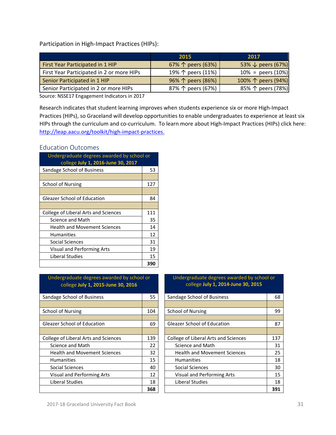Participation in High‐Impact Practices (HIPs):

|                                           | 2015                       | 2017                         |
|-------------------------------------------|----------------------------|------------------------------|
| First Year Participated in 1 HIP          | 67% $\uparrow$ peers (63%) | 53% $\downarrow$ peers (67%) |
| First Year Participated in 2 or more HIPs | 19% 个 peers (11%)          | $10\% = \text{peers} (10\%)$ |
| Senior Participated in 1 HIP              | 96% 个 peers (86%)          | 100% 个 peers (94%)           |
| Senior Participated in 2 or more HIPs     | 87% 个 peers (67%)          | 85% 个 peers (78%)            |

Source: NSSE17 Engagement Indicators in 2017

Research indicates that student learning improves when students experience six or more High-Impact Practices (HIPs), so Graceland will develop opportunities to enable undergraduates to experience at least six HIPs through the curriculum and co-curriculum. To learn more about High-Impact Practices (HIPs) click here: http://leap.aacu.org/toolkit/high-impact-practices.

#### Education Outcomes

| Undergraduate degrees awarded by school or<br>college July 1, 2016-June 30, 2017 |     |  |
|----------------------------------------------------------------------------------|-----|--|
| Sandage School of Business                                                       | 53  |  |
|                                                                                  |     |  |
| School of Nursing                                                                | 127 |  |
|                                                                                  |     |  |
| Gleazer School of Education                                                      | 84  |  |
|                                                                                  |     |  |
| College of Liberal Arts and Sciences                                             | 111 |  |
| Science and Math                                                                 | 35  |  |
| <b>Health and Movement Sciences</b>                                              | 14  |  |
| <b>Humanities</b>                                                                | 12  |  |
| Social Sciences                                                                  | 31  |  |
| <b>Visual and Performing Arts</b>                                                | 19  |  |
| Liberal Studies                                                                  | 15  |  |
|                                                                                  | 390 |  |

#### Undergraduate degrees awarded by school or college **July 1, 2015‐June 30, 2016**

| Sandage School of Business           | 55  | Sandage School of Business           |  |
|--------------------------------------|-----|--------------------------------------|--|
|                                      |     |                                      |  |
| School of Nursing                    | 104 | <b>School of Nursing</b>             |  |
|                                      |     |                                      |  |
| <b>Gleazer School of Education</b>   | 69  | <b>Gleazer School of Education</b>   |  |
|                                      |     |                                      |  |
| College of Liberal Arts and Sciences | 139 | College of Liberal Arts and Sciences |  |
| Science and Math                     | 22  | Science and Math                     |  |
| <b>Health and Movement Sciences</b>  | 32  | <b>Health and Movement Sciences</b>  |  |
| <b>Humanities</b>                    | 15  | <b>Humanities</b>                    |  |
| Social Sciences                      | 40  | Social Sciences                      |  |
| Visual and Performing Arts           | 12  | Visual and Performing Arts           |  |
| Liberal Studies                      | 18  | Liberal Studies                      |  |
|                                      | 368 |                                      |  |

| Undergraduate degrees awarded by school or<br>college July 1, 2015-June 30, 2016 |     | Undergraduate degrees awarded by school or<br>college July 1, 2014-June 30, 2015 |     |  |
|----------------------------------------------------------------------------------|-----|----------------------------------------------------------------------------------|-----|--|
| Sandage School of Business                                                       |     | Sandage School of Business                                                       | 68  |  |
|                                                                                  |     |                                                                                  |     |  |
| <b>School of Nursing</b>                                                         | 104 | <b>School of Nursing</b>                                                         | 99  |  |
|                                                                                  |     |                                                                                  |     |  |
| Gleazer School of Education                                                      |     | <b>Gleazer School of Education</b>                                               | 87  |  |
|                                                                                  |     |                                                                                  |     |  |
| College of Liberal Arts and Sciences                                             | 139 | <b>College of Liberal Arts and Sciences</b>                                      | 137 |  |
| Science and Math                                                                 | 22  | Science and Math                                                                 | 31  |  |
| <b>Health and Movement Sciences</b>                                              | 32  | <b>Health and Movement Sciences</b>                                              | 25  |  |
| <b>Humanities</b>                                                                | 15  | <b>Humanities</b>                                                                | 18  |  |
| Social Sciences                                                                  | 40  | Social Sciences                                                                  | 30  |  |
| Visual and Performing Arts                                                       | 12  | <b>Visual and Performing Arts</b>                                                | 15  |  |
| Liberal Studies                                                                  | 18  | Liberal Studies                                                                  | 18  |  |
|                                                                                  | 368 |                                                                                  | 391 |  |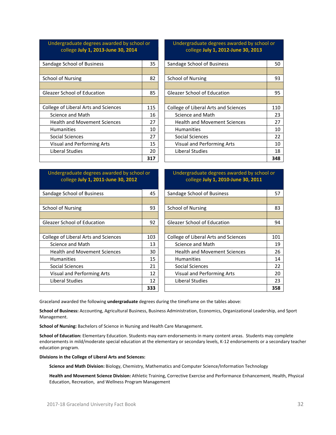#### Undergraduate degrees awarded by school or college **July 1, 2013‐June 30, 2014**

| Sandage School of Business           | 35  | Sandage School of Business           | 50  |
|--------------------------------------|-----|--------------------------------------|-----|
|                                      |     |                                      |     |
| <b>School of Nursing</b>             | 82  | <b>School of Nursing</b>             | 93  |
|                                      |     |                                      |     |
| <b>Gleazer School of Education</b>   | 85  | <b>Gleazer School of Education</b>   | 95  |
|                                      |     |                                      |     |
| College of Liberal Arts and Sciences | 115 | College of Liberal Arts and Sciences | 110 |
| Science and Math                     | 16  | Science and Math                     | 23  |
| <b>Health and Movement Sciences</b>  | 27  | <b>Health and Movement Sciences</b>  | 27  |
| <b>Humanities</b>                    | 10  | <b>Humanities</b>                    | 10  |
| Social Sciences                      | 27  | Social Sciences                      | 22  |
| Visual and Performing Arts           | 15  | Visual and Performing Arts           | 10  |
| Liberal Studies                      | 20  | Liberal Studies                      | 18  |
|                                      | 317 |                                      | 348 |

#### Undergraduate degrees awarded by school or college **July 1, 2012‐June 30, 2013**

| Sandage School of Business           | 50  |
|--------------------------------------|-----|
|                                      |     |
| School of Nursing                    | 93  |
|                                      |     |
| <b>Gleazer School of Education</b>   | 95  |
|                                      |     |
| College of Liberal Arts and Sciences | 110 |
| Science and Math                     | 23  |
| <b>Health and Movement Sciences</b>  | 27  |
| <b>Humanities</b>                    | 10  |
| Social Sciences                      | 22  |
| <b>Visual and Performing Arts</b>    | 10  |
| Liberal Studies                      | 18  |
|                                      | 348 |

#### Undergraduate degrees awarded by school or college **July 1, 2011‐June 30, 2012**

| Sandage School of Business           | 45  | Sandage School of Business           | 57  |
|--------------------------------------|-----|--------------------------------------|-----|
|                                      |     |                                      |     |
| <b>School of Nursing</b>             | 93  | <b>School of Nursing</b>             | 83  |
|                                      |     |                                      |     |
| <b>Gleazer School of Education</b>   | 92  | <b>Gleazer School of Education</b>   | 94  |
|                                      |     |                                      |     |
| College of Liberal Arts and Sciences | 103 | College of Liberal Arts and Sciences | 101 |
| Science and Math                     | 13  | Science and Math                     | 19  |
| <b>Health and Movement Sciences</b>  | 30  | <b>Health and Movement Sciences</b>  | 26  |
| <b>Humanities</b>                    | 15  | <b>Humanities</b>                    | 14  |
| Social Sciences                      | 21  | Social Sciences                      | 22  |
| <b>Visual and Performing Arts</b>    | 12  | <b>Visual and Performing Arts</b>    | 20  |
| Liberal Studies                      | 12  | Liberal Studies                      | 23  |
|                                      | 333 |                                      | 358 |

#### <u> 1989 - Johann Stoff, amerikansk politiker (d. 1989)</u> Undergraduate degrees awarded by school or college **July 1, 2010‐June 30, 2011**

| Sandage School of Business           | 45  | Sandage School of Business           | 57  |
|--------------------------------------|-----|--------------------------------------|-----|
|                                      |     |                                      |     |
| <b>School of Nursing</b>             | 93  | <b>School of Nursing</b>             | 83  |
|                                      |     |                                      |     |
| <b>Gleazer School of Education</b>   | 92  | <b>Gleazer School of Education</b>   | 94  |
|                                      |     |                                      |     |
| College of Liberal Arts and Sciences | 103 | College of Liberal Arts and Sciences | 101 |
| Science and Math                     | 13  | Science and Math                     | 19  |
| <b>Health and Movement Sciences</b>  | 30  | <b>Health and Movement Sciences</b>  | 26  |
| <b>Humanities</b>                    | 15  | <b>Humanities</b>                    | 14  |
| Social Sciences                      | 21  | Social Sciences                      | 22  |
| Visual and Performing Arts           | 12  | Visual and Performing Arts           | 20  |
| Liberal Studies                      | 12  | Liberal Studies                      | 23  |
|                                      | 333 |                                      | 358 |

Graceland awarded the following **undergraduate** degrees during the timeframe on the tables above:

**School of Business:** Accounting, Agricultural Business, Business Administration, Economics, Organizational Leadership, and Sport Management.

**School of Nursing:** Bachelors of Science in Nursing and Health Care Management.

**School of Education:** Elementary Education. Students may earn endorsements in many content areas. Students may complete endorsements in mild/moderate special education at the elementary or secondary levels, K‐12 endorsements or a secondary teacher education program.

**Divisions in the College of Liberal Arts and Sciences:** 

**Science and Math Division:** Biology, Chemistry, Mathematics and Computer Science/Information Technology

**Health and Movement Science Division:** Athletic Training, Corrective Exercise and Performance Enhancement, Health, Physical Education, Recreation, and Wellness Program Management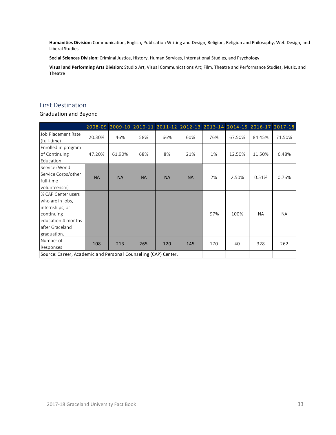**Humanities Division:** Communication, English, Publication Writing and Design, Religion, Religion and Philosophy, Web Design, and Liberal Studies

**Social Sciences Division:** Criminal Justice, History, Human Services, International Studies, and Psychology

**Visual and Performing Arts Division:** Studio Art, Visual Communications Art; Film, Theatre and Performance Studies, Music, and Theatre

#### First Destination

Graduation and Beyond

|                                                                                                                                 |           | 2008-09 2009-10 2010-11 2011-12 2012-13 2013-14 2014-15 2016-17 2017-18 |           |           |           |     |        |           |           |
|---------------------------------------------------------------------------------------------------------------------------------|-----------|-------------------------------------------------------------------------|-----------|-----------|-----------|-----|--------|-----------|-----------|
| Job Placement Rate<br>(full-time)                                                                                               | 20.30%    | 46%                                                                     | 58%       | 66%       | 60%       | 76% | 67.50% | 84.45%    | 71.50%    |
| Enrolled in program<br>of Continuing<br>Education                                                                               | 47.20%    | 61.90%                                                                  | 68%       | 8%        | 21%       | 1%  | 12.50% | 11.50%    | 6.48%     |
| Service (World<br>Service Corps/other<br>full-time<br>volunteerism)                                                             | <b>NA</b> | <b>NA</b>                                                               | <b>NA</b> | <b>NA</b> | <b>NA</b> | 2%  | 2.50%  | 0.51%     | 0.76%     |
| % CAP Center users<br>who are in jobs,<br>internships, or<br>continuing<br>education 4 months<br>after Graceland<br>graduation. |           |                                                                         |           |           |           | 97% | 100%   | <b>NA</b> | <b>NA</b> |
| Number of<br>Responses                                                                                                          | 108       | 213                                                                     | 265       | 120       | 145       | 170 | 40     | 328       | 262       |
| Source: Career, Academic and Personal Counseling (CAP) Center.                                                                  |           |                                                                         |           |           |           |     |        |           |           |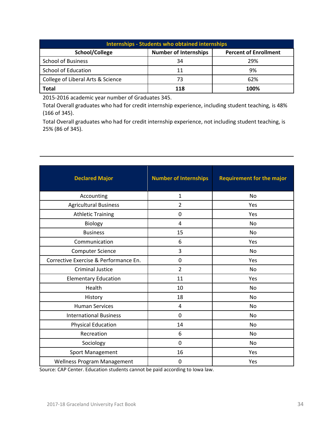| <b>Internships - Students who obtained internships</b> |                              |                              |  |  |  |  |
|--------------------------------------------------------|------------------------------|------------------------------|--|--|--|--|
| School/College                                         | <b>Number of Internships</b> | <b>Percent of Enrollment</b> |  |  |  |  |
| <b>School of Business</b>                              | 34                           | 29%                          |  |  |  |  |
| School of Education                                    | 11                           | 9%                           |  |  |  |  |
| College of Liberal Arts & Science                      | 73                           | 62%                          |  |  |  |  |
| <b>Total</b>                                           | 118                          | 100%                         |  |  |  |  |

2015‐2016 academic year number of Graduates 345.

Total Overall graduates who had for credit internship experience, including student teaching, is 48% (166 of 345).

Total Overall graduates who had for credit internship experience, not including student teaching, is 25% (86 of 345).

| <b>Declared Major</b>                 | <b>Number of Internships</b> | <b>Requirement for the major</b> |
|---------------------------------------|------------------------------|----------------------------------|
| Accounting                            | $\mathbf{1}$                 | No                               |
| <b>Agricultural Business</b>          | $\overline{2}$               | Yes                              |
| <b>Athletic Training</b>              | 0                            | Yes                              |
| Biology                               | 4                            | <b>No</b>                        |
| <b>Business</b>                       | 15                           | No                               |
| Communication                         | 6                            | Yes                              |
| <b>Computer Science</b>               | 3                            | No                               |
| Corrective Exercise & Performance En. | 0                            | Yes                              |
| <b>Criminal Justice</b>               | $\overline{2}$               | No                               |
| <b>Elementary Education</b>           | 11                           | Yes                              |
| Health                                | 10                           | No                               |
| History                               | 18                           | No                               |
| <b>Human Services</b>                 | 4                            | <b>No</b>                        |
| <b>International Business</b>         | 0                            | No                               |
| <b>Physical Education</b>             | 14                           | <b>No</b>                        |
| Recreation                            | 6                            | No.                              |
| Sociology                             | 0                            | <b>No</b>                        |
| Sport Management                      | 16                           | Yes                              |
| <b>Wellness Program Management</b>    | 0                            | Yes                              |

Source: CAP Center. Education students cannot be paid according to Iowa law.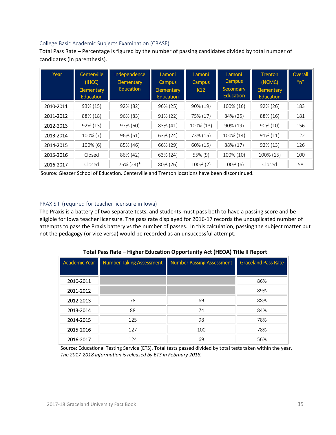#### College Basic Academic Subjects Examination (CBASE)

Total Pass Rate – Percentage is figured by the number of passing candidates divided by total number of candidates (in parenthesis).

| Year      | Centerville<br>(IHCC)<br>Elementary<br><b>Education</b> | Independence<br><b>Elementary</b><br><b>Education</b> | Lamoni<br><b>Campus</b><br>Elementary<br><b>Education</b> | Lamoni<br><b>Campus</b><br>K <sub>12</sub> | Lamoni<br><b>Campus</b><br>Secondary<br><b>Education</b> | <b>Trenton</b><br>(NCMC)<br><b>Elementary</b><br><b>Education</b> | Overall<br>n'' |
|-----------|---------------------------------------------------------|-------------------------------------------------------|-----------------------------------------------------------|--------------------------------------------|----------------------------------------------------------|-------------------------------------------------------------------|----------------|
| 2010-2011 | 93% (15)                                                | 92% (82)                                              | 96% (25)                                                  | 90% (19)                                   | 100% (16)                                                | 92% (26)                                                          | 183            |
| 2011-2012 | 88% (18)                                                | 96% (83)                                              | 91% (22)                                                  | 75% (17)                                   | 84% (25)                                                 | 88% (16)                                                          | 181            |
| 2012-2013 | 92% (13)                                                | 97% (60)                                              | 83% (41)                                                  | 100% (13)                                  | 90% (19)                                                 | 90% (10)                                                          | 156            |
| 2013-2014 | 100% (7)                                                | 96% (51)                                              | 63% (24)                                                  | 73% (15)                                   | 100% (14)                                                | $91\% (11)$                                                       | 122            |
| 2014-2015 | 100% (6)                                                | 85% (46)                                              | 66% (29)                                                  | 60% (15)                                   | 88% (17)                                                 | 92% (13)                                                          | 126            |
| 2015-2016 | Closed                                                  | 86% (42)                                              | 63% (24)                                                  | 55% (9)                                    | 100% (10)                                                | 100% (15)                                                         | 100            |
| 2016-2017 | Closed                                                  | 75% (24)*                                             | 80% (26)                                                  | 100% (2)                                   | 100% (6)                                                 | Closed                                                            | 58             |

Source: Gleazer School of Education. Centerville and Trenton locations have been discontinued.

#### PRAXIS II (required for teacher licensure in Iowa)

The Praxis is a battery of two separate tests, and students must pass both to have a passing score and be eligible for Iowa teacher licensure. The pass rate displayed for 2016‐17 records the unduplicated number of attempts to pass the Praxis battery vs the number of passes. In this calculation, passing the subject matter but not the pedagogy (or vice versa) would be recorded as an unsuccessful attempt.

| <b>Academic Year</b> | <b>Number Taking Assessment</b> | <b>Number Passing Assessment</b> | <b>Graceland Pass Rate</b> |
|----------------------|---------------------------------|----------------------------------|----------------------------|
|                      |                                 |                                  |                            |
| 2010-2011            |                                 |                                  | 86%                        |
| 2011-2012            |                                 |                                  | 89%                        |
| 2012-2013            | 78                              | 69                               | 88%                        |
| 2013-2014            | 88                              | 74                               | 84%                        |
| 2014-2015            | 125                             | 98                               | 78%                        |
| 2015-2016            | 127                             | 100                              | 78%                        |
| 2016-2017            | 124                             | 69                               | 56%                        |

**Total Pass Rate – Higher Education Opportunity Act (HEOA) Title II Report** 

Source: Educational Testing Service (ETS). Total tests passed divided by total tests taken within the year. *The 2017‐2018 information is released by ETS in February 2018.*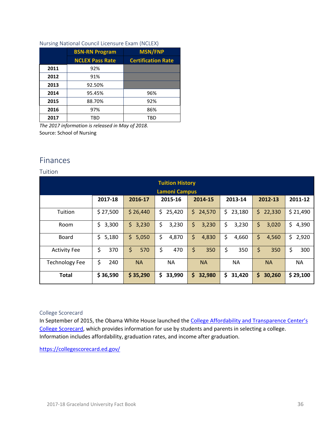#### Nursing National Council Licensure Exam (NCLEX)

|      | <b>BSN-RN Program</b>  | <b>MSN/FNP</b>            |
|------|------------------------|---------------------------|
|      | <b>NCLEX Pass Rate</b> | <b>Certification Rate</b> |
| 2011 | 92%                    |                           |
| 2012 | 91%                    |                           |
| 2013 | 92.50%                 |                           |
| 2014 | 95.45%                 | 96%                       |
| 2015 | 88.70%                 | 92%                       |
| 2016 | 97%                    | 86%                       |
| 2017 | TRD                    | TBD                       |

*The 2017 information is released in May of 2018.*  Source: School of Nursing

# Finances

#### Tuition

| <b>Tuition History</b><br><b>Lamoni Campus</b> |             |              |              |               |              |               |             |
|------------------------------------------------|-------------|--------------|--------------|---------------|--------------|---------------|-------------|
|                                                | 2017-18     | 2016-17      | 2015-16      | 2014-15       | 2013-14      | 2012-13       | 2011-12     |
| Tuition                                        | \$27,500    | \$26,440     | \$<br>25,420 | \$.<br>24,570 | \$<br>23,180 | \$.<br>22,330 | \$21,490    |
| Room                                           | \$<br>3,300 | 3,230<br>\$. | \$<br>3,230  | \$<br>3,230   | \$<br>3,230  | \$<br>3,020   | \$<br>4,390 |
| Board                                          | \$<br>5,180 | 5,050<br>\$. | \$<br>4,870  | \$<br>4,830   | \$<br>4,660  | \$<br>4,560   | \$<br>2,920 |
| <b>Activity Fee</b>                            | \$<br>370   | \$<br>570    | \$<br>470    | \$<br>350     | \$<br>350    | \$<br>350     | \$<br>300   |
| <b>Technology Fee</b>                          | \$<br>240   | <b>NA</b>    | <b>NA</b>    | <b>NA</b>     | <b>NA</b>    | <b>NA</b>     | <b>NA</b>   |
| <b>Total</b>                                   | \$36,590    | \$35,290     | \$<br>33,990 | \$.<br>32,980 | \$<br>31,420 | \$<br>30,260  | \$29,100    |

#### College Scorecard

In September of 2015, the Obama White House launched the College Affordability and Transparence Center's College Scorecard, which provides information for use by students and parents in selecting a college. Information includes affordability, graduation rates, and income after graduation.

https://collegescorecard.ed.gov/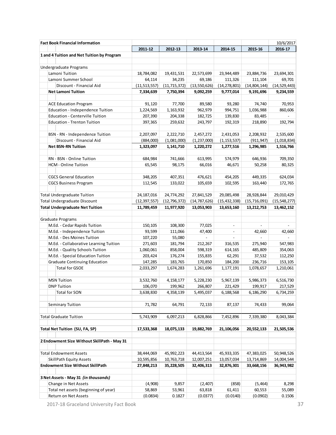|  | <b>Fact Book Financial Information</b>      |                |                |                          |                          |                | 10/6/2017      |
|--|---------------------------------------------|----------------|----------------|--------------------------|--------------------------|----------------|----------------|
|  |                                             | 2011-12        | 2012-13        | 2013-14                  | 2014-15                  | 2015-16        | 2016-17        |
|  | 1 and 4 Tuition and Net Tuition by Program  |                |                |                          |                          |                |                |
|  |                                             |                |                |                          |                          |                |                |
|  | Undergraduate Programs                      |                |                |                          |                          |                |                |
|  | Lamoni Tuition                              | 18,784,082     | 19,431,531     | 22,573,699               | 23,944,489               | 23,884,736     | 23,694,301     |
|  | Lamoni Summer School                        | 64,114         | 34,235         | 69,186                   | 111,326                  | 111,104        | 69,701         |
|  | Discount - Financial Aid                    | (11, 513, 557) | (11, 715, 372) | (13, 550, 626)           | (14, 278, 801)           | (14,804,144)   | (14, 529, 443) |
|  | <b>Net Lamoni Tuition</b>                   | 7,334,639      | 7,750,394      | 9,092,259                | 9,777,014                | 9,191,696      | 9,234,559      |
|  |                                             |                |                |                          |                          |                |                |
|  | <b>ACE Education Program</b>                | 91,120         | 77,700         | 89,580                   | 93,280                   | 74,740         | 70,953         |
|  | Education - Independence Tuition            | 1,224,569      | 1,163,932      | 962,979                  | 994,751                  | 1,036,988      | 860,606        |
|  | Education - Centerville Tuition             | 207,390        | 204,338        | 182,725                  | 139,830                  | 83,485         |                |
|  | <b>Education - Trenton Tuition</b>          | 397,365        | 259,632        | 243,797                  | 192,319                  | 218,890        | 192,794        |
|  |                                             |                |                |                          |                          |                |                |
|  | BSN - RN - Independence Tuition             | 2,207,097      | 2,222,710      | 2,457,272                | 2,431,053                | 2,208,932      | 2,535,600      |
|  | Discount - Financial Aid                    | (884,000)      | (1,081,000)    | (1, 237, 000)            | (1, 153, 537)            | (911, 947)     | (1,018,834)    |
|  | <b>Net BSN-RN Tuition</b>                   | 1,323,097      | 1,141,710      | 1,220,272                | 1,277,516                | 1,296,985      | 1,516,766      |
|  |                                             |                |                |                          |                          |                |                |
|  | RN - BSN - Online Tuition                   | 684,984        | 741,666        | 613,995                  | 574,979                  | 646,936        | 709,350        |
|  | HCM - Online Tuition                        | 65,545         | 98,175         | 66,016                   | 46,671                   | 50,258         | 80,325         |
|  |                                             |                |                |                          |                          |                |                |
|  | <b>CGCS General Education</b>               | 348,205        | 407,351        | 476,621                  | 454,205                  | 449,335        | 624,034        |
|  | <b>CGCS Business Program</b>                | 112,545        | 133,022        | 105,659                  | 102,595                  | 163,440        | 172,765        |
|  |                                             |                |                |                          |                          |                |                |
|  | <b>Total Undergraduate Tuition</b>          | 24, 187, 016   | 24,774,292     | 27,841,529               | 29,085,498               | 28,928,844     | 29,010,429     |
|  | Total Undergraduate Discount                | (12, 397, 557) | (12, 796, 372) | (14, 787, 626)           | (15,432,338)             | (15, 716, 091) | (15,548,277)   |
|  | <b>Total Undergraduate Net Tuition</b>      |                |                |                          |                          |                |                |
|  |                                             | 11,789,459     | 11,977,920     | 13,053,903               | 13,653,160               | 13,212,753     | 13,462,152     |
|  | Graduate Programs                           |                |                |                          |                          |                |                |
|  | M.Ed. - Cedar Rapids Tuition                | 150,105        | 108,300        | 77,025                   | $\frac{1}{2}$            | $\frac{1}{2}$  | $\overline{a}$ |
|  |                                             | 93,599         |                |                          |                          |                |                |
|  | M.Ed. - Independence Tuition                |                | 111,066        | 47,400                   | $\overline{\phantom{a}}$ | 42,660         | 42,660         |
|  | M.Ed. - Des Moines Tuition                  | 107,220        | 55,080         | $\overline{\phantom{a}}$ | $\frac{1}{2}$            |                |                |
|  | M.Ed. - Collaborative Learning Tuition      | 271,603        | 181,794        | 212,267                  | 316,535                  | 275,940        | 547,983        |
|  | M.Ed. - Quality Schools Tuition             | 1,060,061      | 858,004        | 598,319                  | 614,165                  | 485,809        | 354,063        |
|  | M.Ed. - Special Education Tuition           | 203,424        | 176,274        | 155,835                  | 62,291                   | 37,532         | 112,250        |
|  | Graduate Continuing Education               | 147,285        | 183,765        | 170,850                  | 184,200                  | 236,716        | 153,105        |
|  | <b>Total for GSOE</b>                       | 2,033,297      | 1,674,283      | 1,261,696                | 1,177,191                | 1,078,657      | 1,210,061      |
|  |                                             |                |                |                          |                          |                |                |
|  | <b>MSN Tuition</b>                          | 3,532,760      | 4,158,177      | 5,228,230                | 5,967,139                | 5,986,373      | 6,516,730      |
|  | <b>DNP Tuition</b>                          | 106,070        | 199,962        | 266,807                  | 221,429                  | 199,917        | 217,529        |
|  | <b>Total for SON</b>                        | 3,638,830      | 4,358,139      | 5,495,037                | 6,188,568                | 6,186,290      | 6,734,259      |
|  |                                             |                |                |                          |                          |                |                |
|  | <b>Seminary Tuition</b>                     | 71,782         | 64,791         | 72,133                   | 87,137                   | 74,433         | 99,064         |
|  |                                             |                |                |                          |                          |                |                |
|  | <b>Total Graduate Tuition</b>               | 5,743,909      | 6,097,213      | 6,828,866                | 7,452,896                | 7,339,380      | 8,043,384      |
|  |                                             |                |                |                          |                          |                |                |
|  | Total Net Tuition (SU, FA, SP)              | 17,533,368     | 18,075,133     | 19,882,769               | 21,106,056               | 20,552,133     | 21,505,536     |
|  |                                             |                |                |                          |                          |                |                |
|  | 2 Endowment Size Without SkillPath - May 31 |                |                |                          |                          |                |                |
|  |                                             |                |                |                          |                          |                |                |
|  | <b>Total Endowment Assets</b>               | 38,444,069     | 45,992,223     | 44,413,564               | 45,933,335               | 47,383,025     | 50,948,526     |
|  | <b>SkillPath Equity Assets</b>              | 10,595,856     | 10,763,718     | 12,007,251               | 13,057,034               | 13,714,869     | 14,004,544     |
|  | <b>Endowment Size Without SkillPath</b>     | 27,848,213     | 35,228,505     | 32,406,313               | 32,876,301               | 33,668,156     | 36,943,982     |
|  |                                             |                |                |                          |                          |                |                |
|  | 3 Net Assets - May 31 (in thousands)        |                |                |                          |                          |                |                |
|  | Change in Net Assets                        | (4,908)        | 9,857          | (2,407)                  | (858)                    | (5,464)        | 8,298          |
|  | Total net assets (beginning of year)        | 58,869         | 53,961         | 63,818                   | 61,411                   | 60,553         | 55,089         |
|  | Return on Net Assets                        | (0.0834)       | 0.1827         | (0.0377)                 | (0.0140)                 | (0.0902)       | 0.1506         |

2017-18 Graceland University Fact Book 37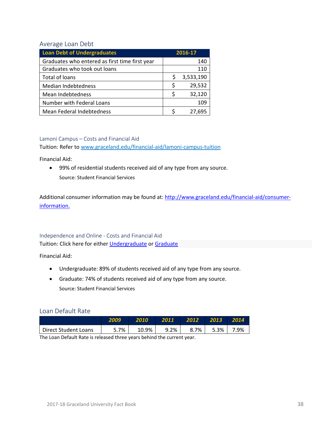#### Average Loan Debt

| <b>Loan Debt of Undergraduates</b>             | 2016-17 |           |  |
|------------------------------------------------|---------|-----------|--|
| Graduates who entered as first time first year |         | 140       |  |
| Graduates who took out loans                   |         | 110       |  |
| Total of loans                                 | S       | 3,533,190 |  |
| <b>Median Indebtedness</b>                     | Ś       | 29,532    |  |
| Mean Indebtedness                              |         | 32,120    |  |
| Number with Federal Loans                      |         | 109       |  |
| Mean Federal Indebtedness                      |         | 27,695    |  |

#### Lamoni Campus – Costs and Financial Aid

Tuition: Refer to www.graceland.edu/financial‐aid/lamoni‐campus‐tuition

Financial Aid:

 99% of residential students received aid of any type from any source. Source: Student Financial Services

Additional consumer information may be found at: http://www.graceland.edu/financial-aid/consumerinformation.

#### Independence and Online ‐ Costs and Financial Aid Tuition: Click here for either *Undergraduate* or Graduate

Financial Aid:

- Undergraduate: 89% of students received aid of any type from any source.
- Graduate: 74% of students received aid of any type from any source. Source: Student Financial Services

#### Loan Default Rate

|                      | 2009 | 2010  | 2011 | 2012    | 2013    | 2014 |
|----------------------|------|-------|------|---------|---------|------|
| Direct Student Loans | 5.7% | 10.9% | 9.2% | $8.7\%$ | $5.3\%$ | 7.9% |

The Loan Default Rate is released three years behind the current year.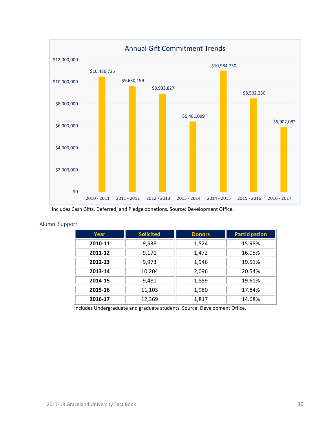

Includes Cash Gifts, Deferred, and Pledge donations. Source: Development Office.

#### Alumni Support

| Year    | <b>Solicited</b> | <b>Donors</b> | <b>Participation</b> |
|---------|------------------|---------------|----------------------|
| 2010-11 | 9,538            | 1,524         | 15.98%               |
| 2011-12 | 9,171            | 1,472         | 16.05%               |
| 2012-13 | 9,973            | 1,946         | 19.51%               |
| 2013-14 | 10,204           | 2,096         | 20.54%               |
| 2014-15 | 9,481            | 1,859         | 19.61%               |
| 2015-16 | 11,103           | 1,980         | 17.84%               |
| 2016-17 | 12,369           | 1,817         | 14.68%               |

Includes Undergraduate and graduate students. Source: Development Office.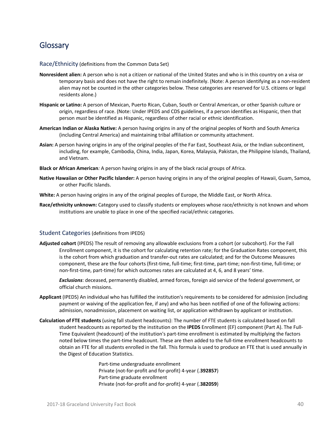# **Glossary**

Race/Ethnicity (definitions from the Common Data Set)

- **Nonresident alien:** A person who is not a citizen or national of the United States and who is in this country on a visa or temporary basis and does not have the right to remain indefinitely. (Note: A person identifying as a non‐resident alien may not be counted in the other categories below. These categories are reserved for U.S. citizens or legal residents alone.)
- **Hispanic or Latino:** A person of Mexican, Puerto Rican, Cuban, South or Central American, or other Spanish culture or origin, regardless of race. (Note: Under IPEDS and CDS guidelines, if a person identifies as Hispanic, then that person *must* be identified as Hispanic, regardless of other racial or ethnic identification.
- **American Indian or Alaska Native:** A person having origins in any of the original peoples of North and South America (including Central America) and maintaining tribal affiliation or community attachment.
- **Asian:** A person having origins in any of the original peoples of the Far East, Southeast Asia, or the Indian subcontinent, including, for example, Cambodia, China, India, Japan, Korea, Malaysia, Pakistan, the Philippine Islands, Thailand, and Vietnam.
- **Black or African American***:* A person having origins in any of the black racial groups of Africa.
- **Native Hawaiian or Other Pacific Islander:** A person having origins in any of the original peoples of Hawaii, Guam, Samoa, or other Pacific Islands.
- **White:** A person having origins in any of the original peoples of Europe, the Middle East, or North Africa.
- **Race/ethnicity unknown:** Category used to classify students or employees whose race/ethnicity is not known and whom institutions are unable to place in one of the specified racial/ethnic categories.

#### Student Categories (definitions from IPEDS)

**Adjusted cohort** (IPEDS) The result of removing any allowable exclusions from a cohort (or subcohort). For the Fall Enrollment component, it is the cohort for calculating retention rate; for the Graduation Rates component, this is the cohort from which graduation and transfer‐out rates are calculated; and for the Outcome Measures component, these are the four cohorts (first‐time, full‐time; first‐time, part‐time; non‐first‐time, full‐time; or non‐first‐time, part‐time) for which outcomes rates are calculated at 4, 6, and 8 years' time.

*Exclusions*: deceased, permanently disabled, armed forces, foreign aid service of the federal government, or official church missions.

- **Applicant** (IPEDS) An individual who has fulfilled the institution's requirements to be considered for admission (including payment or waiving of the application fee, if any) and who has been notified of one of the following actions: admission, nonadmission, placement on waiting list, or application withdrawn by applicant or institution.
- **Calculation of FTE students** (using fall student headcounts): The number of FTE students is calculated based on fall student headcounts as reported by the institution on the **IPEDS** Enrollment (EF) component (Part A). The Full‐ Time Equivalent (headcount) of the institution's part‐time enrollment is estimated by multiplying the factors noted below times the part‐time headcount. These are then added to the full‐time enrollment headcounts to obtain an FTE for all students enrolled in the fall. This formula is used to produce an FTE that is used annually in the Digest of Education Statistics.

Part‐time undergraduate enrollment Private (not‐for‐profit and for‐profit) 4‐year (.**392857**) Part‐time graduate enrollment Private (not‐for‐profit and for‐profit) 4‐year (.**382059**)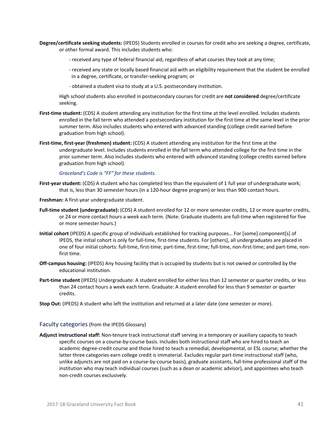- **Degree/certificate seeking students:** (IPEDS) Students enrolled in courses for credit who are seeking a degree, certificate, or other formal award. This includes students who:
	- ‐ received any type of federal financial aid, regardless of what courses they took at any time;
	- ‐ received any state or locally based financial aid with an eligibility requirement that the student be enrolled in a degree, certificate, or transfer‐seeking program; or
	- ‐ obtained a student visa to study at a U.S. postsecondary institution.

High school students also enrolled in postsecondary courses for credit are **not considered** degree/certificate seeking.

- First-time student: (CDS) A student attending any institution for the first time at the level enrolled. Includes students enrolled in the fall term who attended a postsecondary institution for the first time at the same level in the prior summer term. Also includes students who entered with advanced standing (college credit earned before graduation from high school).
- **First-time, first-year (freshmen) student:** (CDS) A student attending any institution for the first time at the undergraduate level. Includes students enrolled in the fall term who attended college for the first time in the prior summer term. Also includes students who entered with advanced standing (college credits earned before graduation from high school).

*Graceland's Code is "FF" for these students.*

- First-year student: (CDS) A student who has completed less than the equivalent of 1 full year of undergraduate work; that is, less than 30 semester hours (in a 120‐hour degree program) or less than 900 contact hours.
- **Freshman:** A first‐year undergraduate student.
- **Full‐time student (undergraduate):** (CDS) A student enrolled for 12 or more semester credits, 12 or more quarter credits, or 24 or more contact hours a week each term. (Note: Graduate students are full-time when registered for five or more semester hours.)
- **Initial cohort** (IPEDS) A specific group of individuals established for tracking purposes… For [some] component[s] of IPEDS, the initial cohort is only for full‐time, first‐time students. For [others], all undergraduates are placed in one of four initial cohorts: full‐time, first‐time; part‐time, first‐time; full‐time, non‐first‐time; and part‐time, non‐ first time.
- **Off‐campus housing:** (IPEDS) Any housing facility that is occupied by students but is not owned or controlled by the educational institution.
- **Part‐time student** (IPEDS) Undergraduate: A student enrolled for either less than 12 semester or quarter credits, or less than 24 contact hours a week each term. Graduate: A student enrolled for less than 9 semester or quarter credits.
- **Stop Out:** (IPEDS) A student who left the institution and returned at a later date (one semester or more).

#### Faculty categories(from the IPEDS Glossary)

**Adjunct instructional staff:** Non‐tenure track instructional staff serving in a temporary or auxiliary capacity to teach specific courses on a course‐by‐course basis. Includes both instructional staff who are hired to teach an academic degree‐credit course and those hired to teach a remedial, developmental, or ESL course; whether the latter three categories earn college credit is immaterial. Excludes regular part‐time instructional staff (who, unlike adjuncts are not paid on a course‐by‐course basis), graduate assistants, full‐time professional staff of the institution who may teach individual courses (such as a dean or academic advisor), and appointees who teach non‐credit courses exclusively.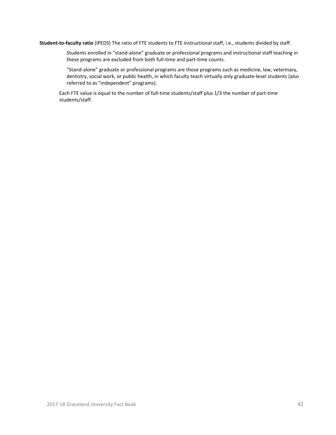**Student‐to‐faculty ratio** (IPEDS) The ratio of FTE students to FTE instructional staff, i.e., students divided by staff.

Students enrolled in "stand‐alone" graduate or professional programs and instructional staff teaching in these programs are excluded from both full‐time and part‐time counts.

"Stand‐alone" graduate or professional programs are those programs such as medicine, law, veterinary, dentistry, social work, or public health, in which faculty teach virtually only graduate‐level students (also referred to as "independent" programs).

Each FTE value is equal to the number of full-time students/staff plus 1/3 the number of part-time students/staff.